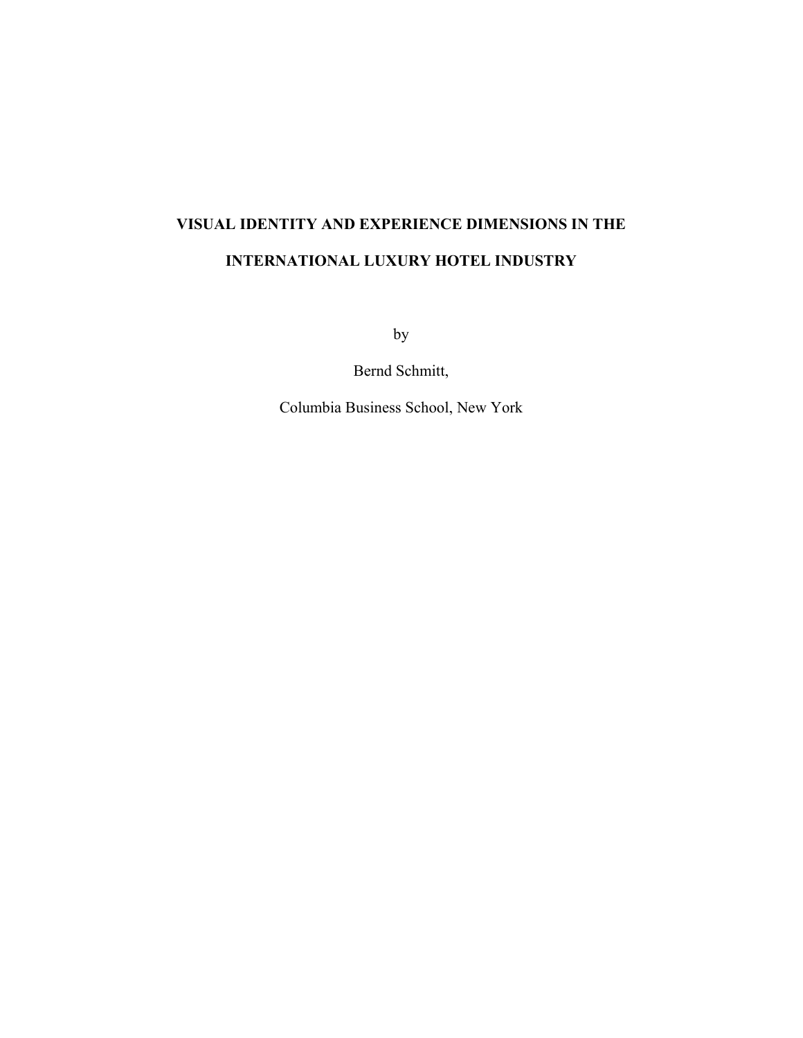# **VISUAL IDENTITY AND EXPERIENCE DIMENSIONS IN THE INTERNATIONAL LUXURY HOTEL INDUSTRY**

by

Bernd Schmitt,

Columbia Business School, New York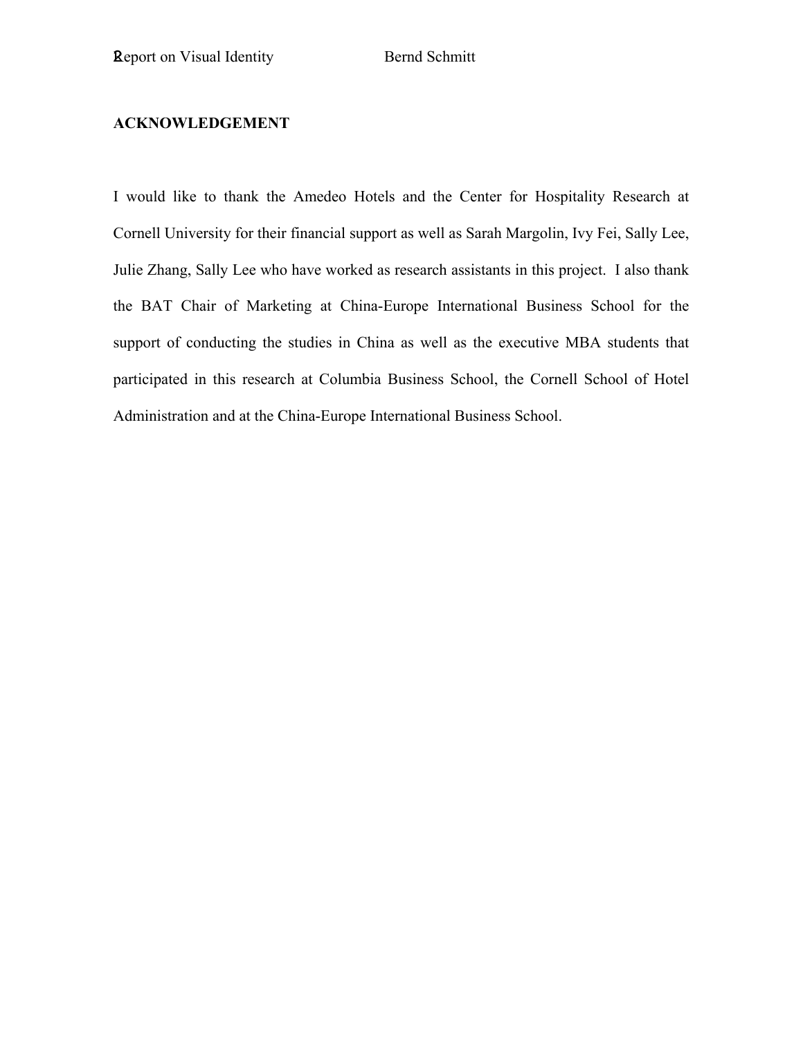### **ACKNOWLEDGEMENT**

I would like to thank the Amedeo Hotels and the Center for Hospitality Research at Cornell University for their financial support as well as Sarah Margolin, Ivy Fei, Sally Lee, Julie Zhang, Sally Lee who have worked as research assistants in this project. I also thank the BAT Chair of Marketing at China-Europe International Business School for the support of conducting the studies in China as well as the executive MBA students that participated in this research at Columbia Business School, the Cornell School of Hotel Administration and at the China-Europe International Business School.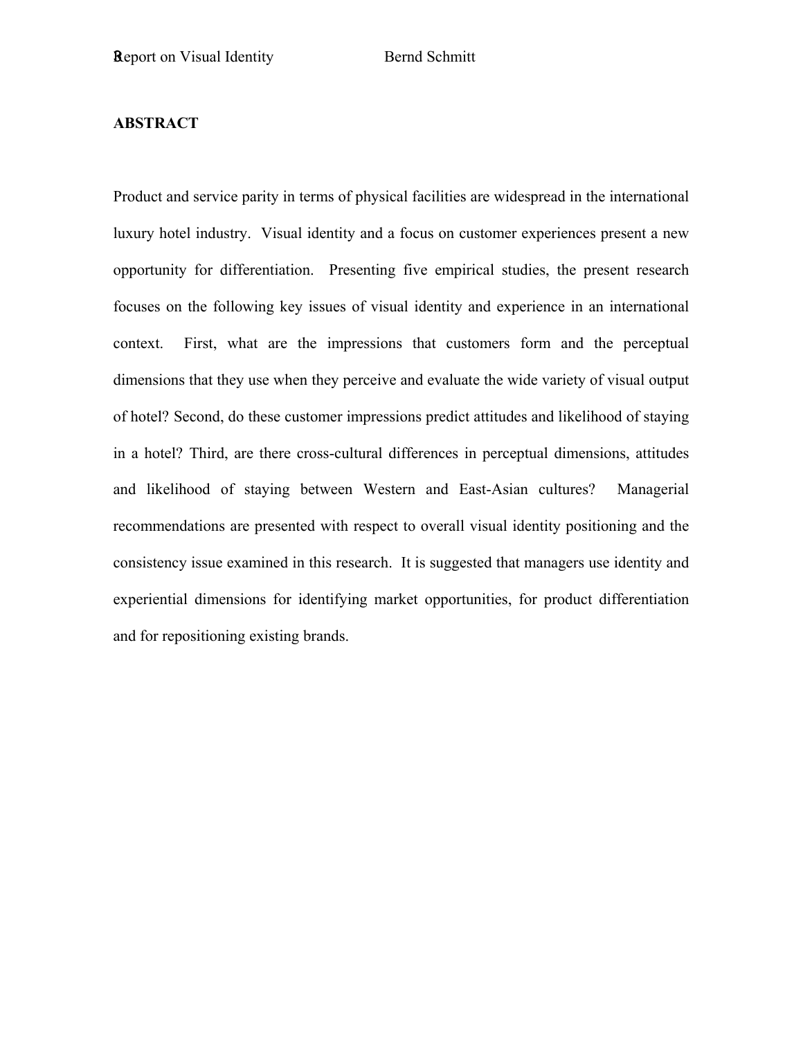### **ABSTRACT**

Product and service parity in terms of physical facilities are widespread in the international luxury hotel industry. Visual identity and a focus on customer experiences present a new opportunity for differentiation. Presenting five empirical studies, the present research focuses on the following key issues of visual identity and experience in an international context. First, what are the impressions that customers form and the perceptual dimensions that they use when they perceive and evaluate the wide variety of visual output of hotel? Second, do these customer impressions predict attitudes and likelihood of staying in a hotel? Third, are there cross-cultural differences in perceptual dimensions, attitudes and likelihood of staying between Western and East-Asian cultures? Managerial recommendations are presented with respect to overall visual identity positioning and the consistency issue examined in this research. It is suggested that managers use identity and experiential dimensions for identifying market opportunities, for product differentiation and for repositioning existing brands.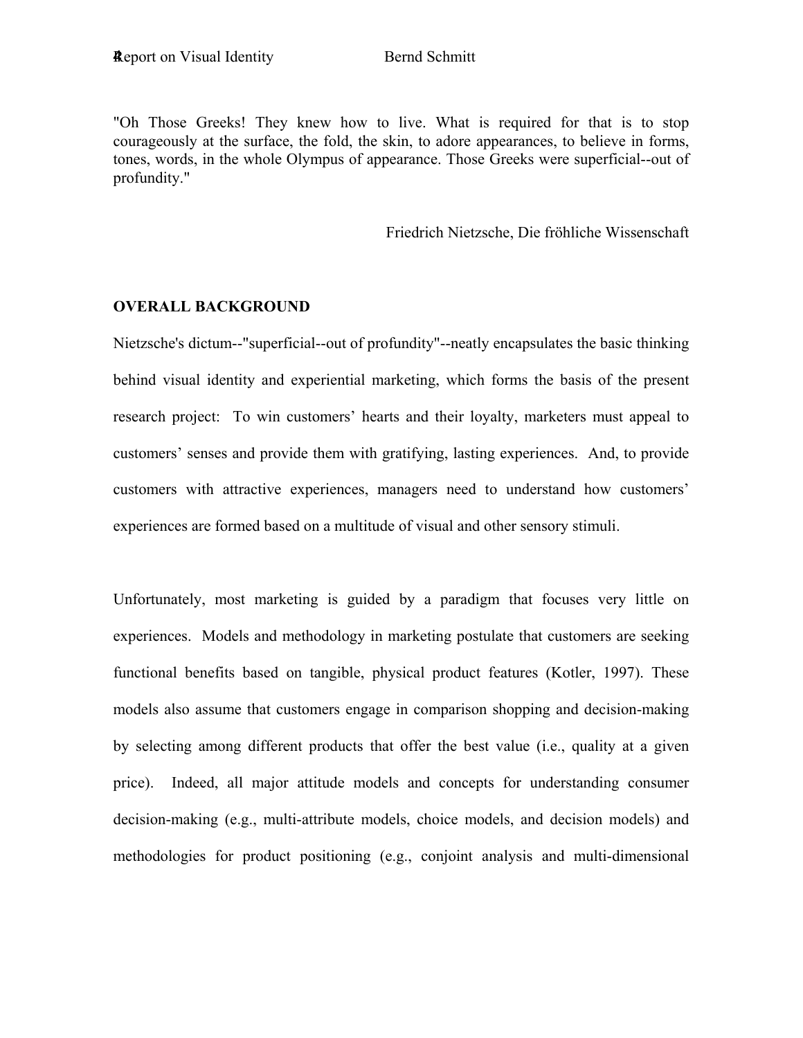"Oh Those Greeks! They knew how to live. What is required for that is to stop courageously at the surface, the fold, the skin, to adore appearances, to believe in forms, tones, words, in the whole Olympus of appearance. Those Greeks were superficial--out of profundity."

Friedrich Nietzsche, Die fröhliche Wissenschaft

### **OVERALL BACKGROUND**

Nietzsche's dictum--"superficial--out of profundity"--neatly encapsulates the basic thinking behind visual identity and experiential marketing, which forms the basis of the present research project: To win customers' hearts and their loyalty, marketers must appeal to customers' senses and provide them with gratifying, lasting experiences. And, to provide customers with attractive experiences, managers need to understand how customers' experiences are formed based on a multitude of visual and other sensory stimuli.

Unfortunately, most marketing is guided by a paradigm that focuses very little on experiences. Models and methodology in marketing postulate that customers are seeking functional benefits based on tangible, physical product features (Kotler, 1997). These models also assume that customers engage in comparison shopping and decision-making by selecting among different products that offer the best value (i.e., quality at a given price). Indeed, all major attitude models and concepts for understanding consumer decision-making (e.g., multi-attribute models, choice models, and decision models) and methodologies for product positioning (e.g., conjoint analysis and multi-dimensional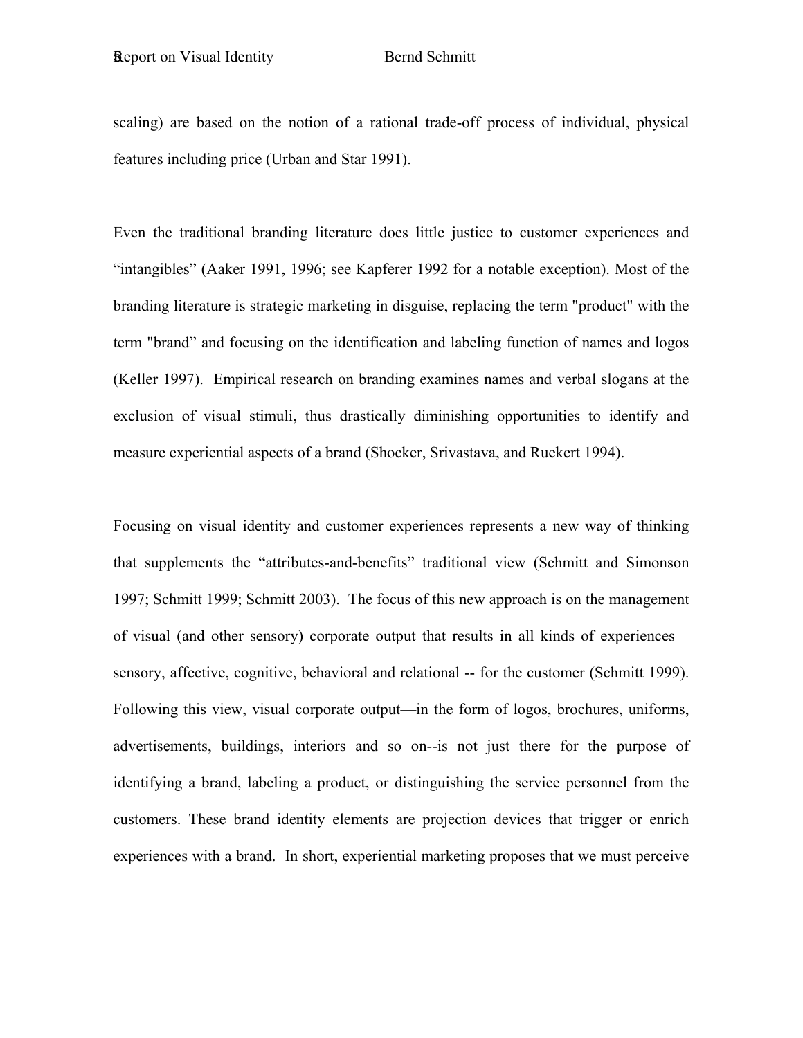scaling) are based on the notion of a rational trade-off process of individual, physical features including price (Urban and Star 1991).

Even the traditional branding literature does little justice to customer experiences and "intangibles" (Aaker 1991, 1996; see Kapferer 1992 for a notable exception). Most of the branding literature is strategic marketing in disguise, replacing the term "product" with the term "brand" and focusing on the identification and labeling function of names and logos (Keller 1997). Empirical research on branding examines names and verbal slogans at the exclusion of visual stimuli, thus drastically diminishing opportunities to identify and measure experiential aspects of a brand (Shocker, Srivastava, and Ruekert 1994).

Focusing on visual identity and customer experiences represents a new way of thinking that supplements the "attributes-and-benefits" traditional view (Schmitt and Simonson 1997; Schmitt 1999; Schmitt 2003). The focus of this new approach is on the management of visual (and other sensory) corporate output that results in all kinds of experiences – sensory, affective, cognitive, behavioral and relational -- for the customer (Schmitt 1999). Following this view, visual corporate output—in the form of logos, brochures, uniforms, advertisements, buildings, interiors and so on--is not just there for the purpose of identifying a brand, labeling a product, or distinguishing the service personnel from the customers. These brand identity elements are projection devices that trigger or enrich experiences with a brand. In short, experiential marketing proposes that we must perceive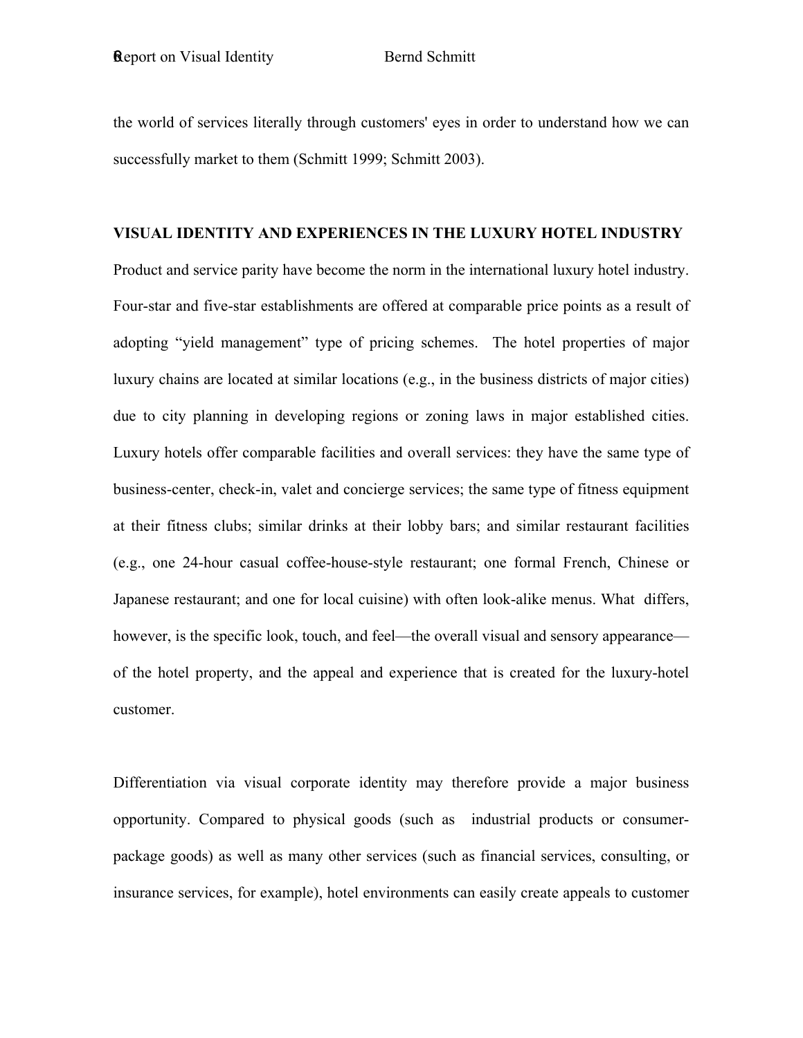the world of services literally through customers' eyes in order to understand how we can successfully market to them (Schmitt 1999; Schmitt 2003).

### **VISUAL IDENTITY AND EXPERIENCES IN THE LUXURY HOTEL INDUSTRY**

Product and service parity have become the norm in the international luxury hotel industry. Four-star and five-star establishments are offered at comparable price points as a result of adopting "yield management" type of pricing schemes. The hotel properties of major luxury chains are located at similar locations (e.g., in the business districts of major cities) due to city planning in developing regions or zoning laws in major established cities. Luxury hotels offer comparable facilities and overall services: they have the same type of business-center, check-in, valet and concierge services; the same type of fitness equipment at their fitness clubs; similar drinks at their lobby bars; and similar restaurant facilities (e.g., one 24-hour casual coffee-house-style restaurant; one formal French, Chinese or Japanese restaurant; and one for local cuisine) with often look-alike menus. What differs, however, is the specific look, touch, and feel—the overall visual and sensory appearance of the hotel property, and the appeal and experience that is created for the luxury-hotel customer.

Differentiation via visual corporate identity may therefore provide a major business opportunity. Compared to physical goods (such as industrial products or consumerpackage goods) as well as many other services (such as financial services, consulting, or insurance services, for example), hotel environments can easily create appeals to customer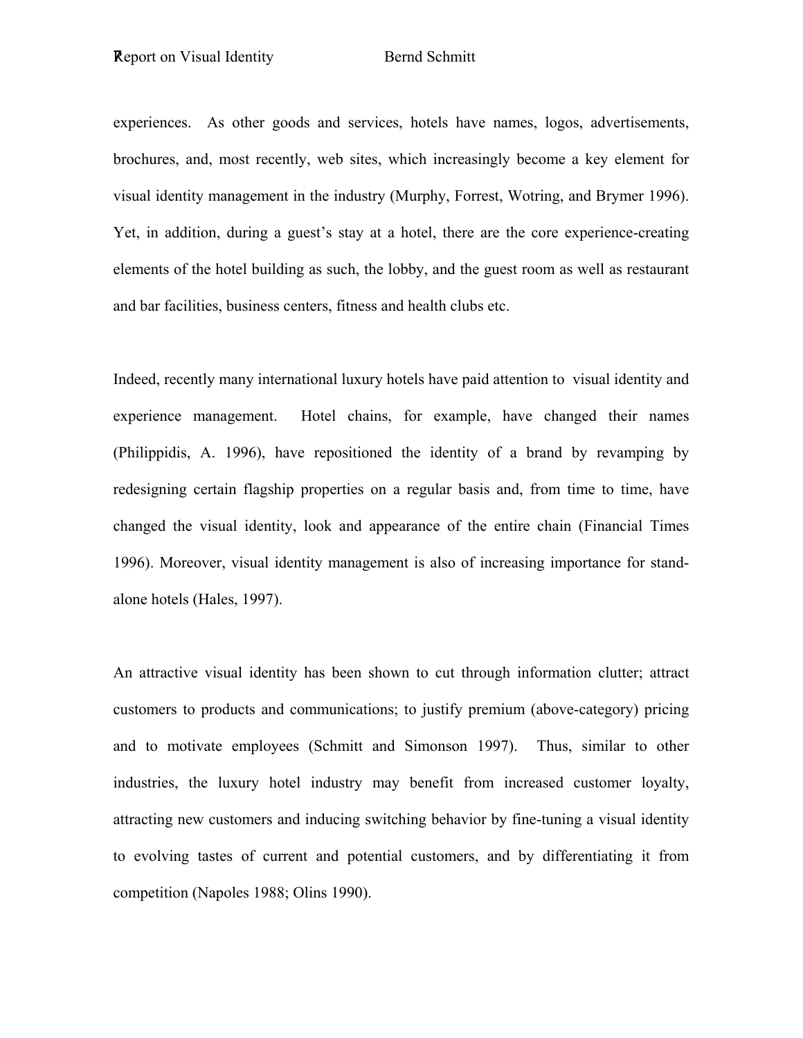experiences. As other goods and services, hotels have names, logos, advertisements, brochures, and, most recently, web sites, which increasingly become a key element for visual identity management in the industry (Murphy, Forrest, Wotring, and Brymer 1996). Yet, in addition, during a guest's stay at a hotel, there are the core experience-creating elements of the hotel building as such, the lobby, and the guest room as well as restaurant and bar facilities, business centers, fitness and health clubs etc.

Indeed, recently many international luxury hotels have paid attention to visual identity and experience management. Hotel chains, for example, have changed their names (Philippidis, A. 1996), have repositioned the identity of a brand by revamping by redesigning certain flagship properties on a regular basis and, from time to time, have changed the visual identity, look and appearance of the entire chain (Financial Times 1996). Moreover, visual identity management is also of increasing importance for standalone hotels (Hales, 1997).

An attractive visual identity has been shown to cut through information clutter; attract customers to products and communications; to justify premium (above-category) pricing and to motivate employees (Schmitt and Simonson 1997). Thus, similar to other industries, the luxury hotel industry may benefit from increased customer loyalty, attracting new customers and inducing switching behavior by fine-tuning a visual identity to evolving tastes of current and potential customers, and by differentiating it from competition (Napoles 1988; Olins 1990).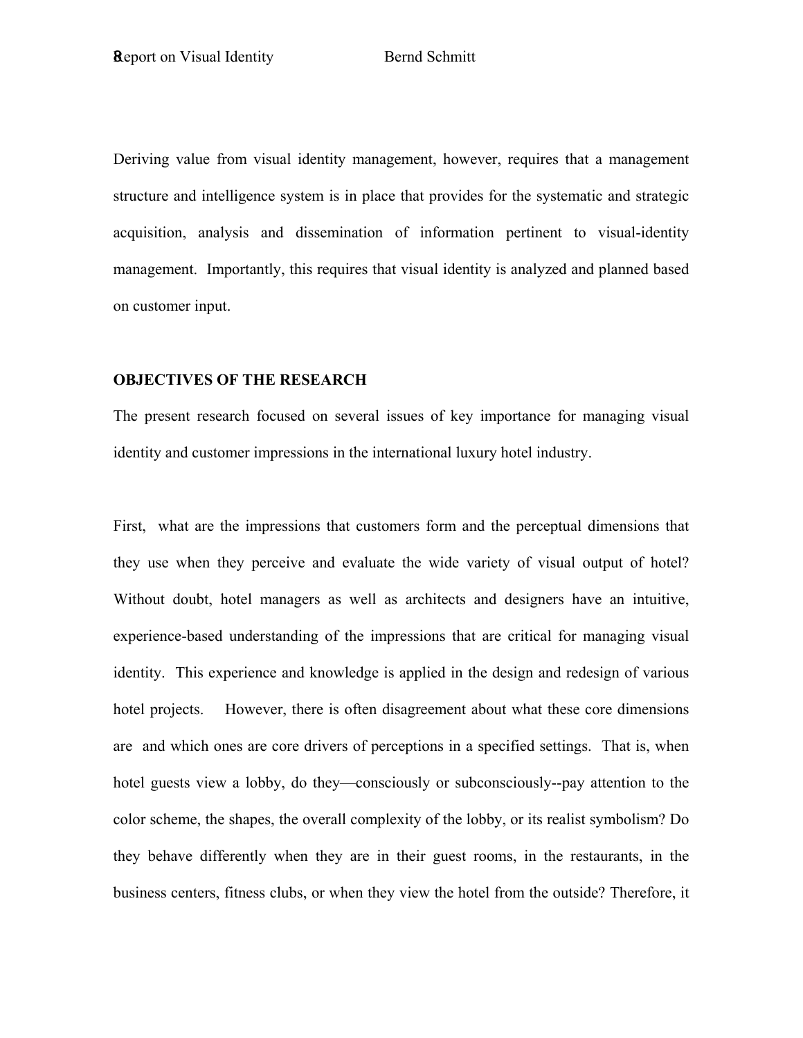Deriving value from visual identity management, however, requires that a management structure and intelligence system is in place that provides for the systematic and strategic acquisition, analysis and dissemination of information pertinent to visual-identity management. Importantly, this requires that visual identity is analyzed and planned based on customer input.

#### **OBJECTIVES OF THE RESEARCH**

The present research focused on several issues of key importance for managing visual identity and customer impressions in the international luxury hotel industry.

First, what are the impressions that customers form and the perceptual dimensions that they use when they perceive and evaluate the wide variety of visual output of hotel? Without doubt, hotel managers as well as architects and designers have an intuitive, experience-based understanding of the impressions that are critical for managing visual identity. This experience and knowledge is applied in the design and redesign of various hotel projects. However, there is often disagreement about what these core dimensions are and which ones are core drivers of perceptions in a specified settings. That is, when hotel guests view a lobby, do they—consciously or subconsciously--pay attention to the color scheme, the shapes, the overall complexity of the lobby, or its realist symbolism? Do they behave differently when they are in their guest rooms, in the restaurants, in the business centers, fitness clubs, or when they view the hotel from the outside? Therefore, it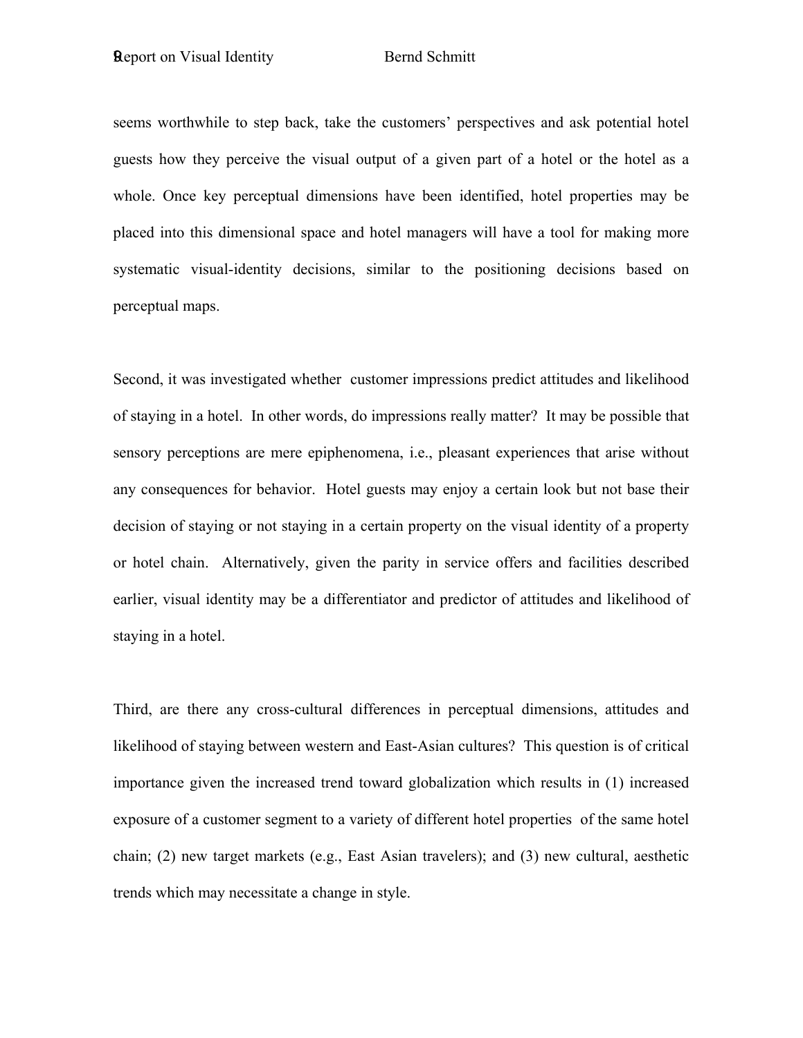seems worthwhile to step back, take the customers' perspectives and ask potential hotel guests how they perceive the visual output of a given part of a hotel or the hotel as a whole. Once key perceptual dimensions have been identified, hotel properties may be placed into this dimensional space and hotel managers will have a tool for making more systematic visual-identity decisions, similar to the positioning decisions based on perceptual maps.

Second, it was investigated whether customer impressions predict attitudes and likelihood of staying in a hotel. In other words, do impressions really matter? It may be possible that sensory perceptions are mere epiphenomena, i.e., pleasant experiences that arise without any consequences for behavior. Hotel guests may enjoy a certain look but not base their decision of staying or not staying in a certain property on the visual identity of a property or hotel chain. Alternatively, given the parity in service offers and facilities described earlier, visual identity may be a differentiator and predictor of attitudes and likelihood of staying in a hotel.

Third, are there any cross-cultural differences in perceptual dimensions, attitudes and likelihood of staying between western and East-Asian cultures? This question is of critical importance given the increased trend toward globalization which results in (1) increased exposure of a customer segment to a variety of different hotel properties of the same hotel chain; (2) new target markets (e.g., East Asian travelers); and (3) new cultural, aesthetic trends which may necessitate a change in style.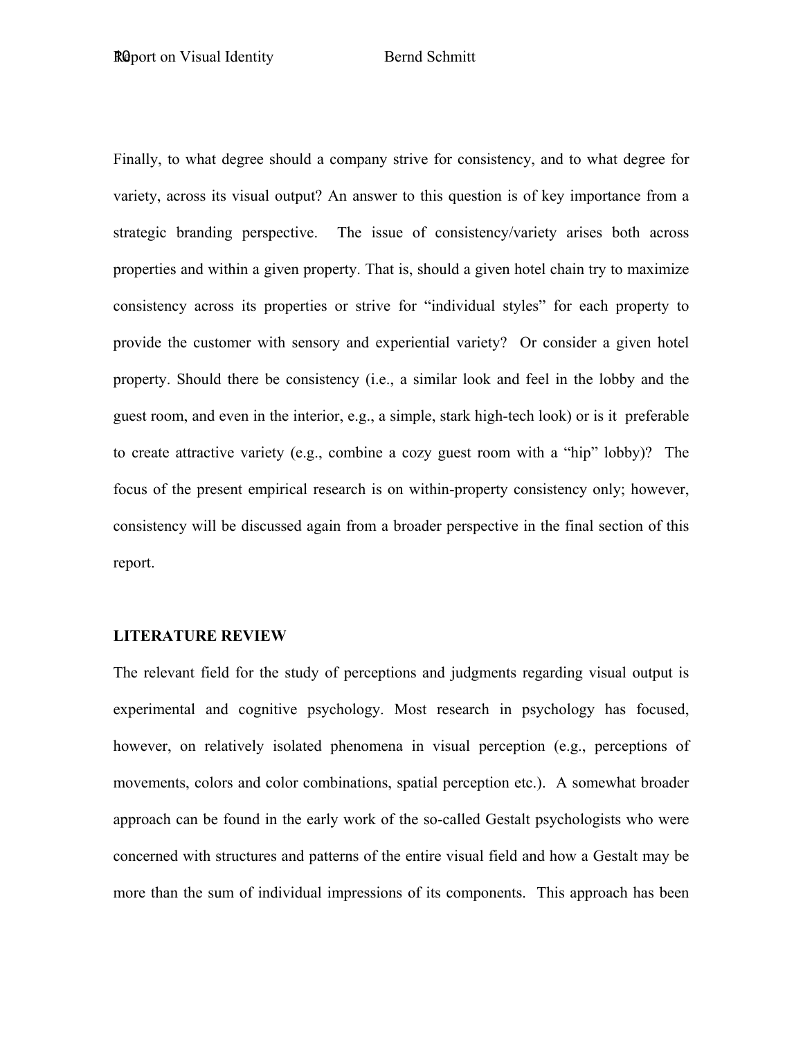Finally, to what degree should a company strive for consistency, and to what degree for variety, across its visual output? An answer to this question is of key importance from a strategic branding perspective. The issue of consistency/variety arises both across properties and within a given property. That is, should a given hotel chain try to maximize consistency across its properties or strive for "individual styles" for each property to provide the customer with sensory and experiential variety? Or consider a given hotel property. Should there be consistency (i.e., a similar look and feel in the lobby and the guest room, and even in the interior, e.g., a simple, stark high-tech look) or is it preferable to create attractive variety (e.g., combine a cozy guest room with a "hip" lobby)? The focus of the present empirical research is on within-property consistency only; however, consistency will be discussed again from a broader perspective in the final section of this report.

#### **LITERATURE REVIEW**

The relevant field for the study of perceptions and judgments regarding visual output is experimental and cognitive psychology. Most research in psychology has focused, however, on relatively isolated phenomena in visual perception (e.g., perceptions of movements, colors and color combinations, spatial perception etc.). A somewhat broader approach can be found in the early work of the so-called Gestalt psychologists who were concerned with structures and patterns of the entire visual field and how a Gestalt may be more than the sum of individual impressions of its components. This approach has been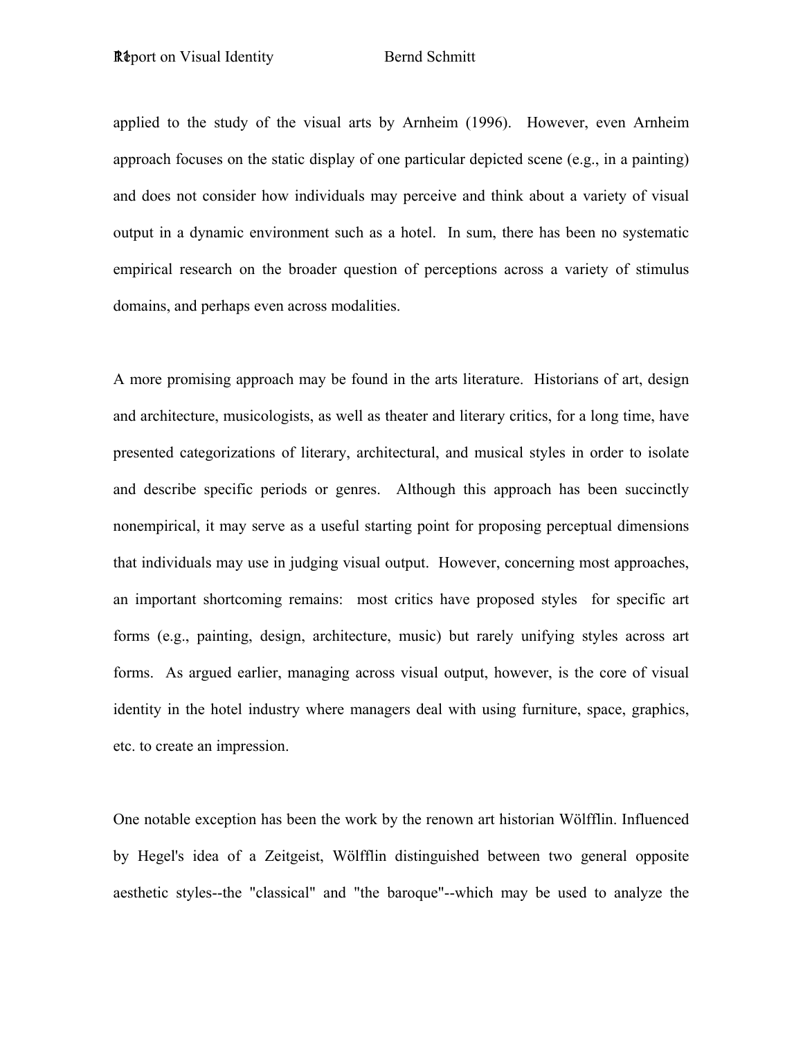applied to the study of the visual arts by Arnheim (1996). However, even Arnheim approach focuses on the static display of one particular depicted scene (e.g., in a painting) and does not consider how individuals may perceive and think about a variety of visual output in a dynamic environment such as a hotel. In sum, there has been no systematic empirical research on the broader question of perceptions across a variety of stimulus domains, and perhaps even across modalities.

A more promising approach may be found in the arts literature. Historians of art, design and architecture, musicologists, as well as theater and literary critics, for a long time, have presented categorizations of literary, architectural, and musical styles in order to isolate and describe specific periods or genres. Although this approach has been succinctly nonempirical, it may serve as a useful starting point for proposing perceptual dimensions that individuals may use in judging visual output. However, concerning most approaches, an important shortcoming remains: most critics have proposed styles for specific art forms (e.g., painting, design, architecture, music) but rarely unifying styles across art forms. As argued earlier, managing across visual output, however, is the core of visual identity in the hotel industry where managers deal with using furniture, space, graphics, etc. to create an impression.

One notable exception has been the work by the renown art historian Wölfflin. Influenced by Hegel's idea of a Zeitgeist, Wölfflin distinguished between two general opposite aesthetic styles--the "classical" and "the baroque"--which may be used to analyze the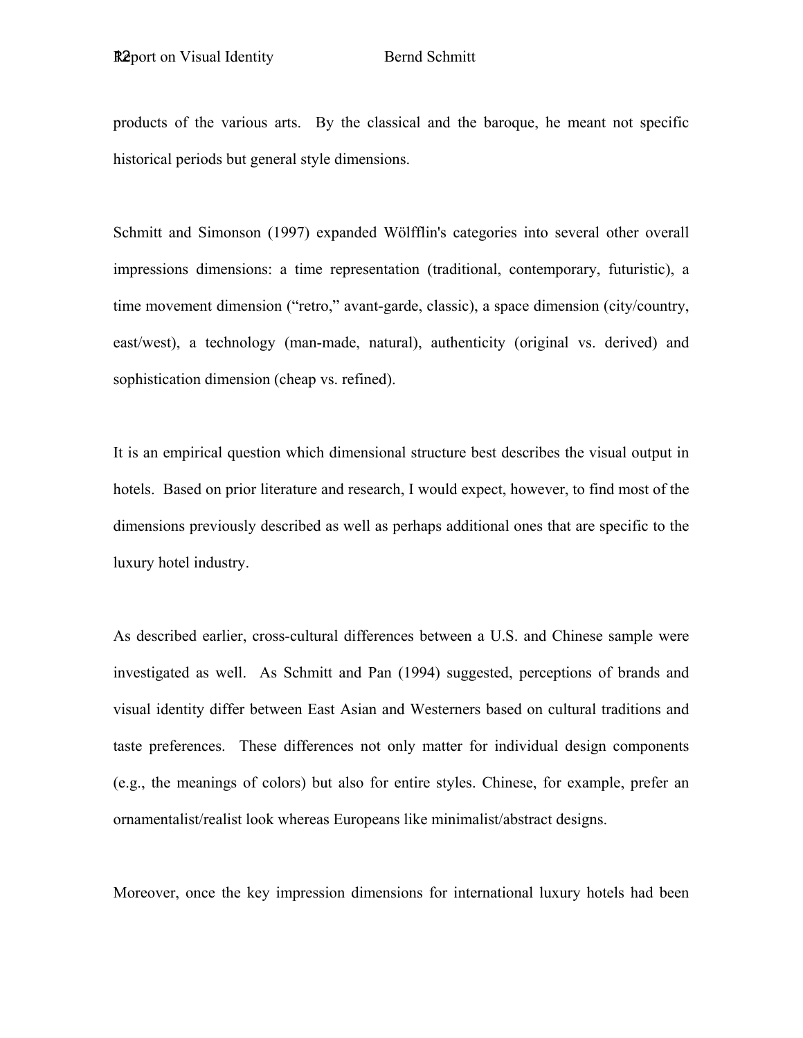products of the various arts. By the classical and the baroque, he meant not specific historical periods but general style dimensions.

Schmitt and Simonson (1997) expanded Wölfflin's categories into several other overall impressions dimensions: a time representation (traditional, contemporary, futuristic), a time movement dimension ("retro," avant-garde, classic), a space dimension (city/country, east/west), a technology (man-made, natural), authenticity (original vs. derived) and sophistication dimension (cheap vs. refined).

It is an empirical question which dimensional structure best describes the visual output in hotels. Based on prior literature and research, I would expect, however, to find most of the dimensions previously described as well as perhaps additional ones that are specific to the luxury hotel industry.

As described earlier, cross-cultural differences between a U.S. and Chinese sample were investigated as well. As Schmitt and Pan (1994) suggested, perceptions of brands and visual identity differ between East Asian and Westerners based on cultural traditions and taste preferences. These differences not only matter for individual design components (e.g., the meanings of colors) but also for entire styles. Chinese, for example, prefer an ornamentalist/realist look whereas Europeans like minimalist/abstract designs.

Moreover, once the key impression dimensions for international luxury hotels had been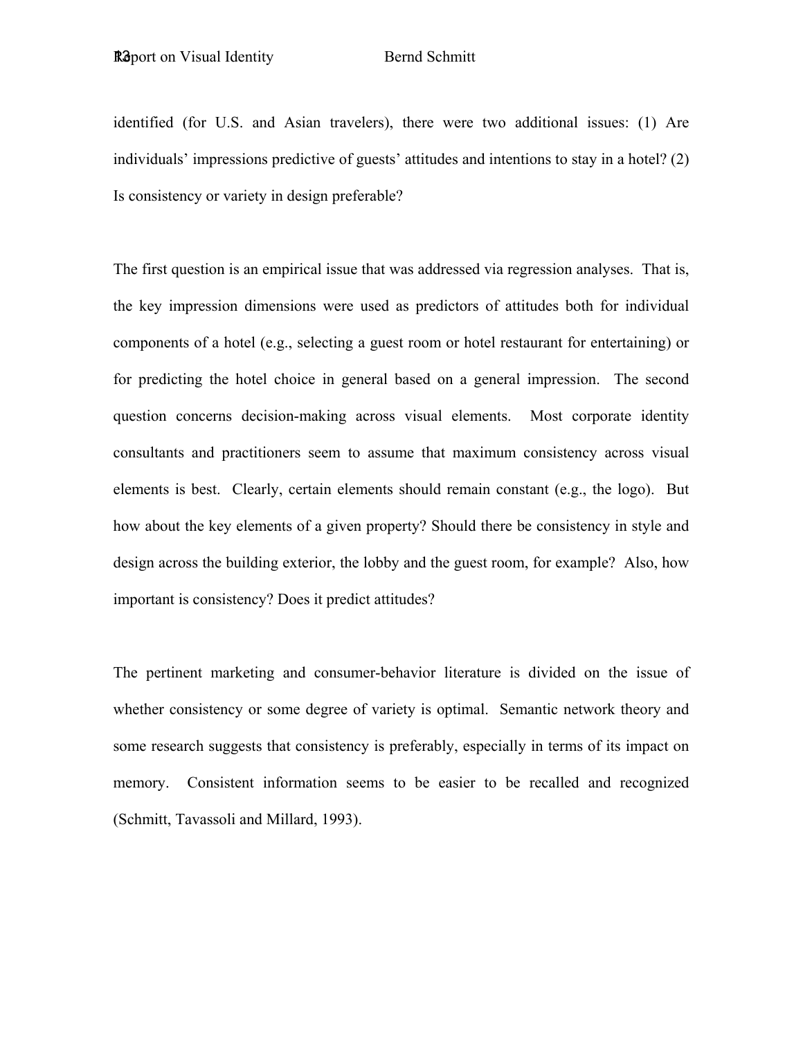identified (for U.S. and Asian travelers), there were two additional issues: (1) Are individuals' impressions predictive of guests' attitudes and intentions to stay in a hotel? (2) Is consistency or variety in design preferable?

The first question is an empirical issue that was addressed via regression analyses. That is, the key impression dimensions were used as predictors of attitudes both for individual components of a hotel (e.g., selecting a guest room or hotel restaurant for entertaining) or for predicting the hotel choice in general based on a general impression. The second question concerns decision-making across visual elements. Most corporate identity consultants and practitioners seem to assume that maximum consistency across visual elements is best. Clearly, certain elements should remain constant (e.g., the logo). But how about the key elements of a given property? Should there be consistency in style and design across the building exterior, the lobby and the guest room, for example? Also, how important is consistency? Does it predict attitudes?

The pertinent marketing and consumer-behavior literature is divided on the issue of whether consistency or some degree of variety is optimal. Semantic network theory and some research suggests that consistency is preferably, especially in terms of its impact on memory. Consistent information seems to be easier to be recalled and recognized (Schmitt, Tavassoli and Millard, 1993).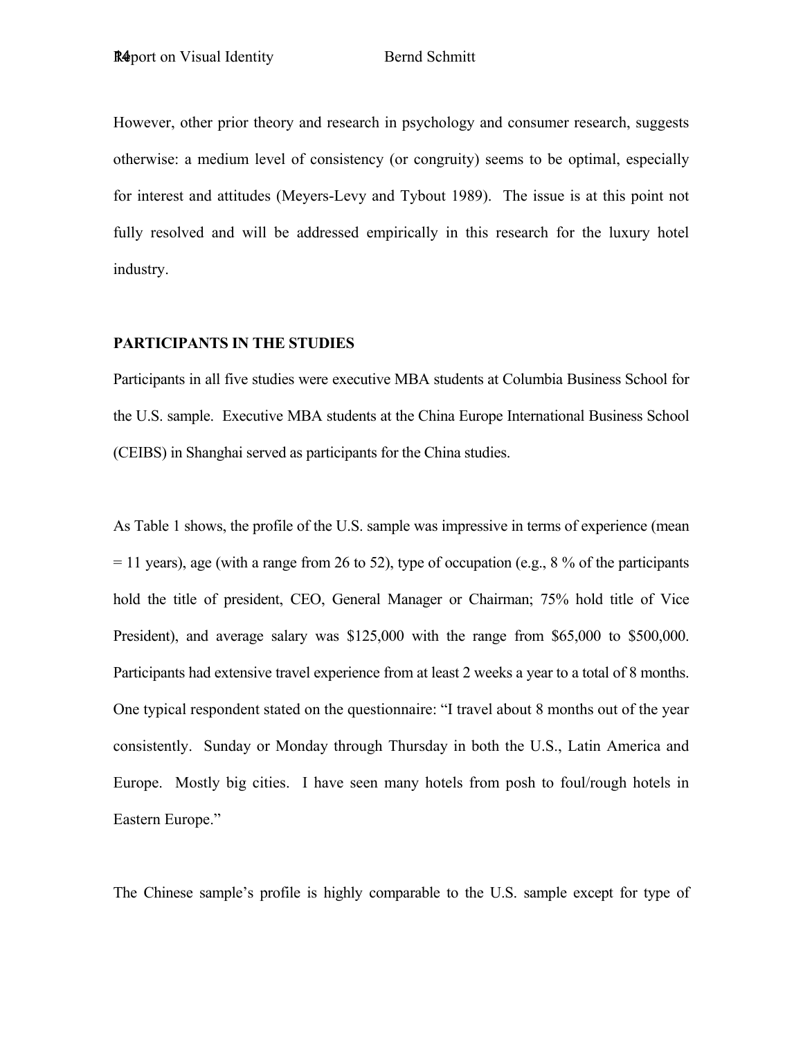However, other prior theory and research in psychology and consumer research, suggests otherwise: a medium level of consistency (or congruity) seems to be optimal, especially for interest and attitudes (Meyers-Levy and Tybout 1989). The issue is at this point not fully resolved and will be addressed empirically in this research for the luxury hotel industry.

### **PARTICIPANTS IN THE STUDIES**

Participants in all five studies were executive MBA students at Columbia Business School for the U.S. sample. Executive MBA students at the China Europe International Business School (CEIBS) in Shanghai served as participants for the China studies.

As Table 1 shows, the profile of the U.S. sample was impressive in terms of experience (mean  $= 11$  years), age (with a range from 26 to 52), type of occupation (e.g., 8 % of the participants hold the title of president, CEO, General Manager or Chairman; 75% hold title of Vice President), and average salary was \$125,000 with the range from \$65,000 to \$500,000. Participants had extensive travel experience from at least 2 weeks a year to a total of 8 months. One typical respondent stated on the questionnaire: "I travel about 8 months out of the year consistently. Sunday or Monday through Thursday in both the U.S., Latin America and Europe. Mostly big cities. I have seen many hotels from posh to foul/rough hotels in Eastern Europe."

The Chinese sample's profile is highly comparable to the U.S. sample except for type of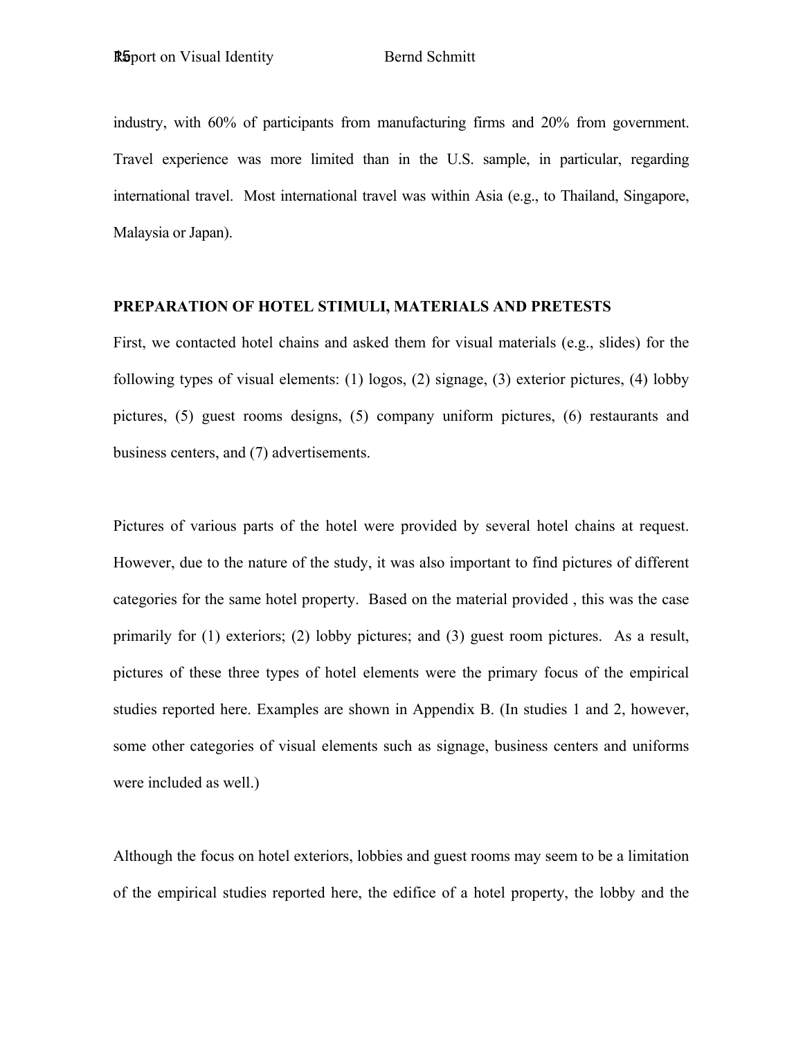industry, with 60% of participants from manufacturing firms and 20% from government. Travel experience was more limited than in the U.S. sample, in particular, regarding international travel. Most international travel was within Asia (e.g., to Thailand, Singapore, Malaysia or Japan).

### **PREPARATION OF HOTEL STIMULI, MATERIALS AND PRETESTS**

First, we contacted hotel chains and asked them for visual materials (e.g., slides) for the following types of visual elements: (1) logos, (2) signage, (3) exterior pictures, (4) lobby pictures, (5) guest rooms designs, (5) company uniform pictures, (6) restaurants and business centers, and (7) advertisements.

Pictures of various parts of the hotel were provided by several hotel chains at request. However, due to the nature of the study, it was also important to find pictures of different categories for the same hotel property. Based on the material provided , this was the case primarily for (1) exteriors; (2) lobby pictures; and (3) guest room pictures. As a result, pictures of these three types of hotel elements were the primary focus of the empirical studies reported here. Examples are shown in Appendix B. (In studies 1 and 2, however, some other categories of visual elements such as signage, business centers and uniforms were included as well.)

Although the focus on hotel exteriors, lobbies and guest rooms may seem to be a limitation of the empirical studies reported here, the edifice of a hotel property, the lobby and the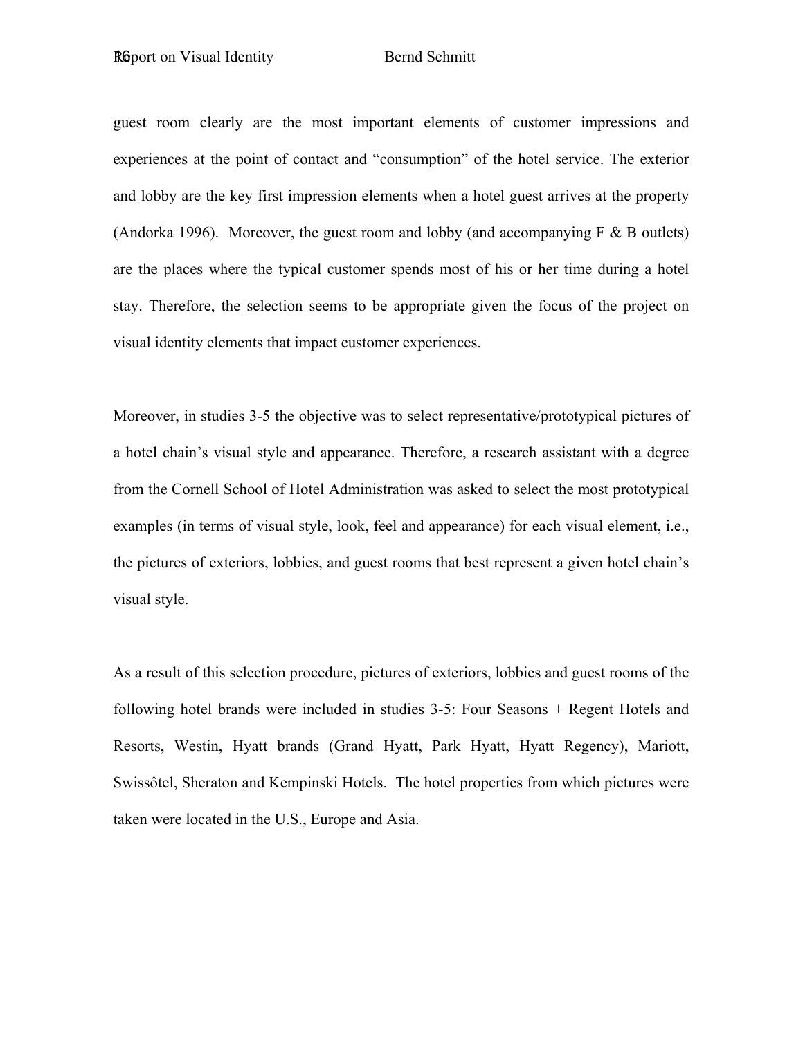guest room clearly are the most important elements of customer impressions and experiences at the point of contact and "consumption" of the hotel service. The exterior and lobby are the key first impression elements when a hotel guest arrives at the property (Andorka 1996). Moreover, the guest room and lobby (and accompanying  $F \& B$  outlets) are the places where the typical customer spends most of his or her time during a hotel stay. Therefore, the selection seems to be appropriate given the focus of the project on visual identity elements that impact customer experiences.

Moreover, in studies 3-5 the objective was to select representative/prototypical pictures of a hotel chain's visual style and appearance. Therefore, a research assistant with a degree from the Cornell School of Hotel Administration was asked to select the most prototypical examples (in terms of visual style, look, feel and appearance) for each visual element, i.e., the pictures of exteriors, lobbies, and guest rooms that best represent a given hotel chain's visual style.

As a result of this selection procedure, pictures of exteriors, lobbies and guest rooms of the following hotel brands were included in studies 3-5: Four Seasons + Regent Hotels and Resorts, Westin, Hyatt brands (Grand Hyatt, Park Hyatt, Hyatt Regency), Mariott, Swissôtel, Sheraton and Kempinski Hotels. The hotel properties from which pictures were taken were located in the U.S., Europe and Asia.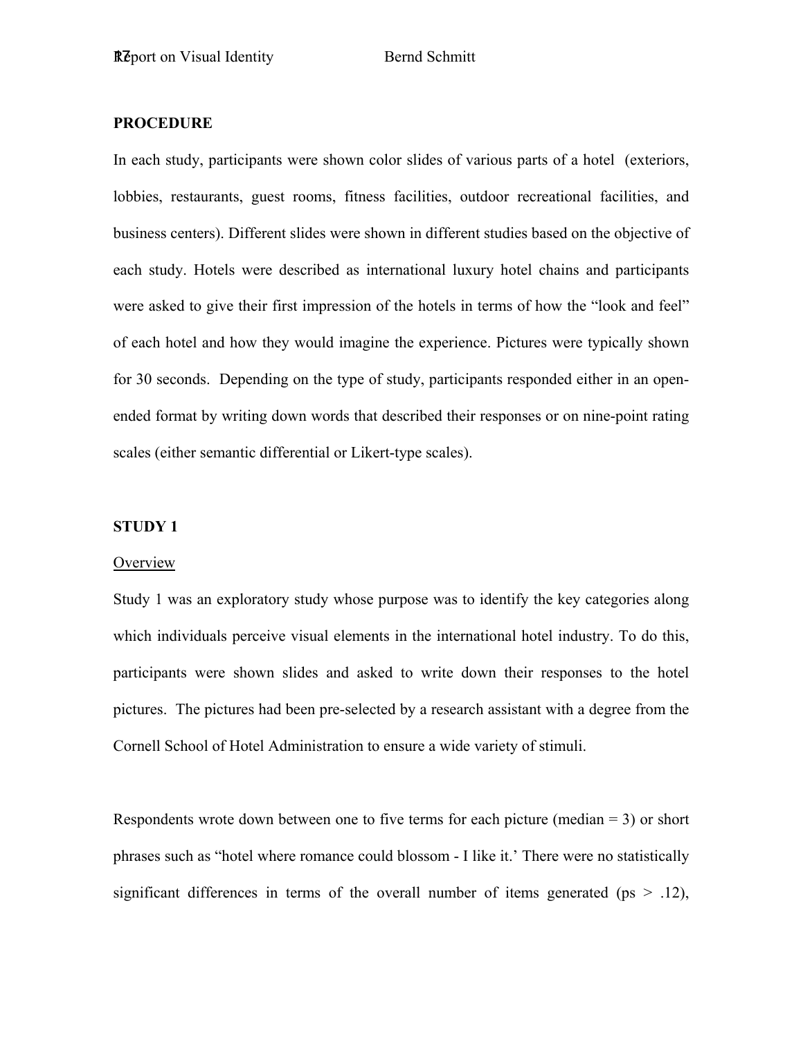### **PROCEDURE**

In each study, participants were shown color slides of various parts of a hotel (exteriors, lobbies, restaurants, guest rooms, fitness facilities, outdoor recreational facilities, and business centers). Different slides were shown in different studies based on the objective of each study. Hotels were described as international luxury hotel chains and participants were asked to give their first impression of the hotels in terms of how the "look and feel" of each hotel and how they would imagine the experience. Pictures were typically shown for 30 seconds. Depending on the type of study, participants responded either in an openended format by writing down words that described their responses or on nine-point rating scales (either semantic differential or Likert-type scales).

### **STUDY 1**

#### **Overview**

Study 1 was an exploratory study whose purpose was to identify the key categories along which individuals perceive visual elements in the international hotel industry. To do this, participants were shown slides and asked to write down their responses to the hotel pictures. The pictures had been pre-selected by a research assistant with a degree from the Cornell School of Hotel Administration to ensure a wide variety of stimuli.

Respondents wrote down between one to five terms for each picture (median = 3) or short phrases such as "hotel where romance could blossom - I like it.' There were no statistically significant differences in terms of the overall number of items generated ( $ps > .12$ ),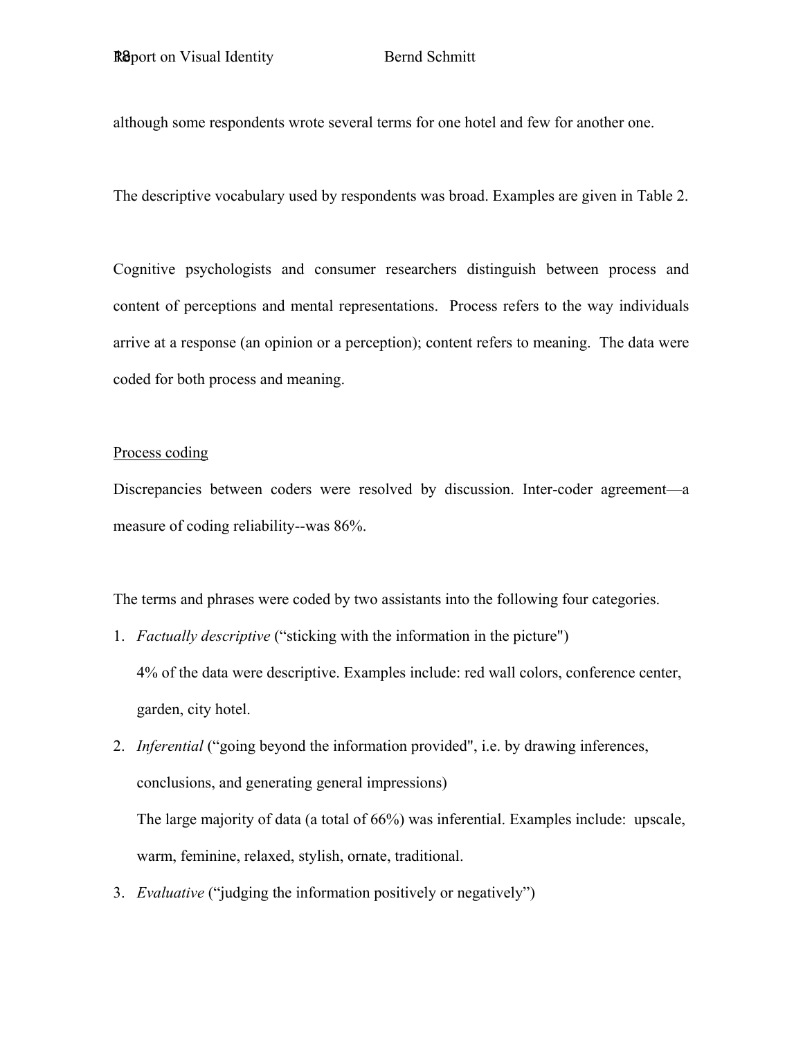although some respondents wrote several terms for one hotel and few for another one.

The descriptive vocabulary used by respondents was broad. Examples are given in Table 2.

Cognitive psychologists and consumer researchers distinguish between process and content of perceptions and mental representations. Process refers to the way individuals arrive at a response (an opinion or a perception); content refers to meaning. The data were coded for both process and meaning.

### Process coding

Discrepancies between coders were resolved by discussion. Inter-coder agreement—a measure of coding reliability--was 86%.

The terms and phrases were coded by two assistants into the following four categories.

- 1. *Factually descriptive* ("sticking with the information in the picture") 4% of the data were descriptive. Examples include: red wall colors, conference center, garden, city hotel.
- 2. *Inferential* ("going beyond the information provided", i.e. by drawing inferences, conclusions, and generating general impressions)

The large majority of data (a total of 66%) was inferential. Examples include: upscale, warm, feminine, relaxed, stylish, ornate, traditional.

3. *Evaluative* ("judging the information positively or negatively")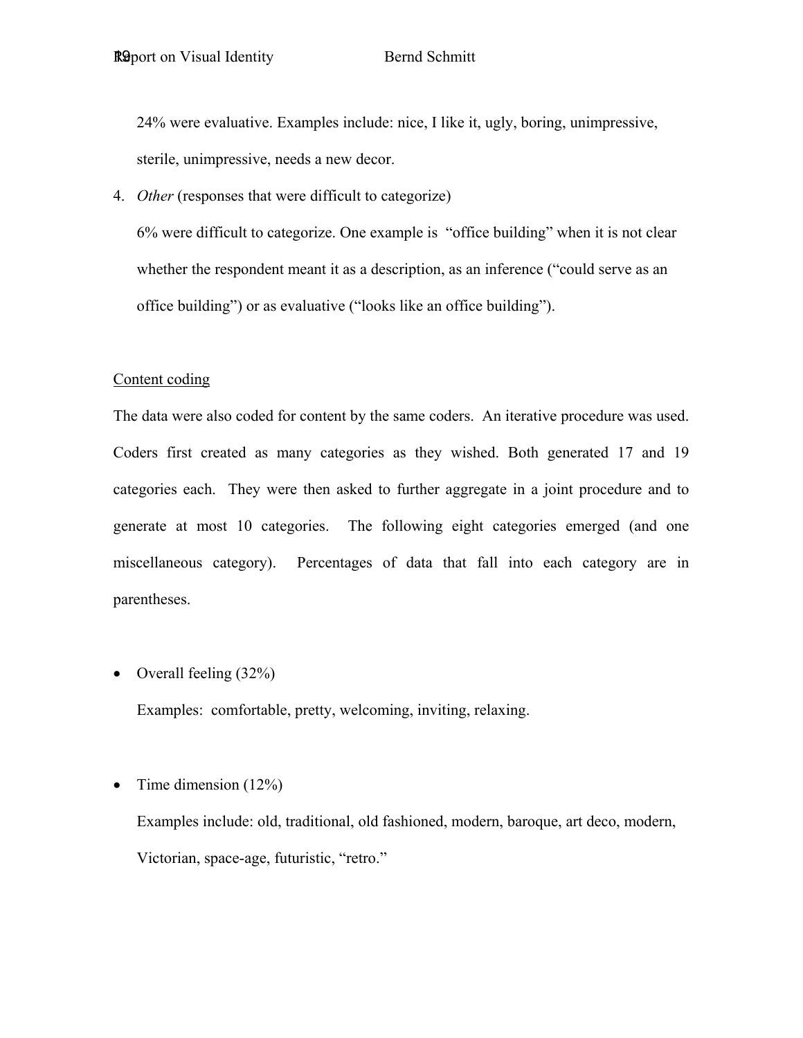24% were evaluative. Examples include: nice, I like it, ugly, boring, unimpressive, sterile, unimpressive, needs a new decor.

4. *Other* (responses that were difficult to categorize)

6% were difficult to categorize. One example is "office building" when it is not clear whether the respondent meant it as a description, as an inference ("could serve as an office building") or as evaluative ("looks like an office building").

### Content coding

The data were also coded for content by the same coders. An iterative procedure was used. Coders first created as many categories as they wished. Both generated 17 and 19 categories each. They were then asked to further aggregate in a joint procedure and to generate at most 10 categories. The following eight categories emerged (and one miscellaneous category). Percentages of data that fall into each category are in parentheses.

• Overall feeling  $(32\%)$ 

Examples: comfortable, pretty, welcoming, inviting, relaxing.

• Time dimension  $(12\%)$ 

Examples include: old, traditional, old fashioned, modern, baroque, art deco, modern, Victorian, space-age, futuristic, "retro."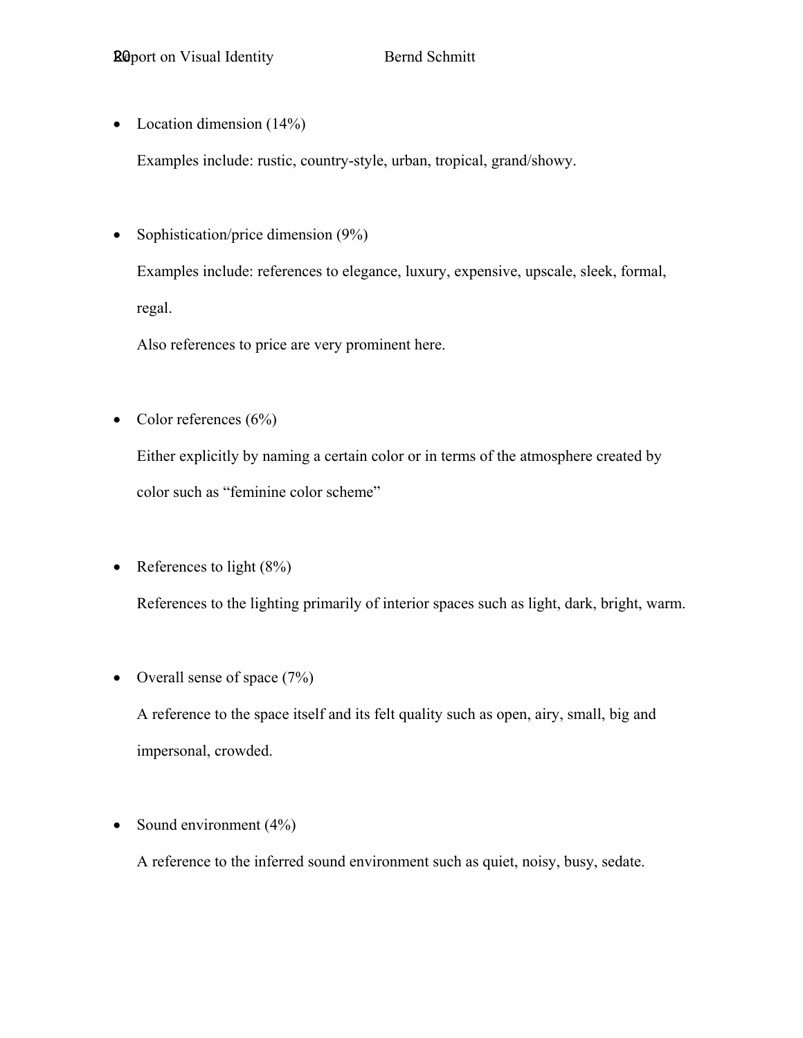• Location dimension  $(14%)$ 

Examples include: rustic, country-style, urban, tropical, grand/showy.

• Sophistication/price dimension (9%) Examples include: references to elegance, luxury, expensive, upscale, sleek, formal, regal.

Also references to price are very prominent here.

• Color references  $(6\%)$ 

Either explicitly by naming a certain color or in terms of the atmosphere created by color such as "feminine color scheme"

• References to light  $(8\%)$ 

References to the lighting primarily of interior spaces such as light, dark, bright, warm.

• Overall sense of space  $(7%)$ 

A reference to the space itself and its felt quality such as open, airy, small, big and impersonal, crowded.

• Sound environment  $(4\%)$ 

A reference to the inferred sound environment such as quiet, noisy, busy, sedate.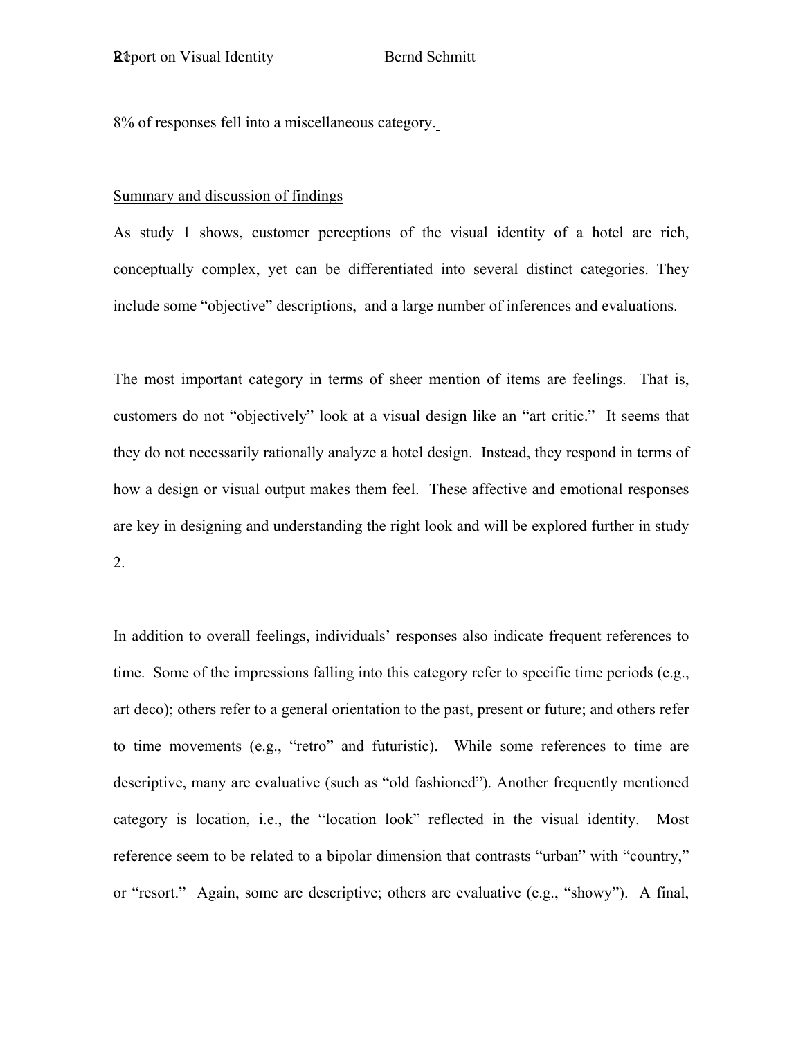8% of responses fell into a miscellaneous category.

### Summary and discussion of findings

As study 1 shows, customer perceptions of the visual identity of a hotel are rich, conceptually complex, yet can be differentiated into several distinct categories. They include some "objective" descriptions, and a large number of inferences and evaluations.

The most important category in terms of sheer mention of items are feelings. That is, customers do not "objectively" look at a visual design like an "art critic." It seems that they do not necessarily rationally analyze a hotel design. Instead, they respond in terms of how a design or visual output makes them feel. These affective and emotional responses are key in designing and understanding the right look and will be explored further in study 2.

In addition to overall feelings, individuals' responses also indicate frequent references to time. Some of the impressions falling into this category refer to specific time periods (e.g., art deco); others refer to a general orientation to the past, present or future; and others refer to time movements (e.g., "retro" and futuristic). While some references to time are descriptive, many are evaluative (such as "old fashioned"). Another frequently mentioned category is location, i.e., the "location look" reflected in the visual identity. Most reference seem to be related to a bipolar dimension that contrasts "urban" with "country," or "resort." Again, some are descriptive; others are evaluative (e.g., "showy"). A final,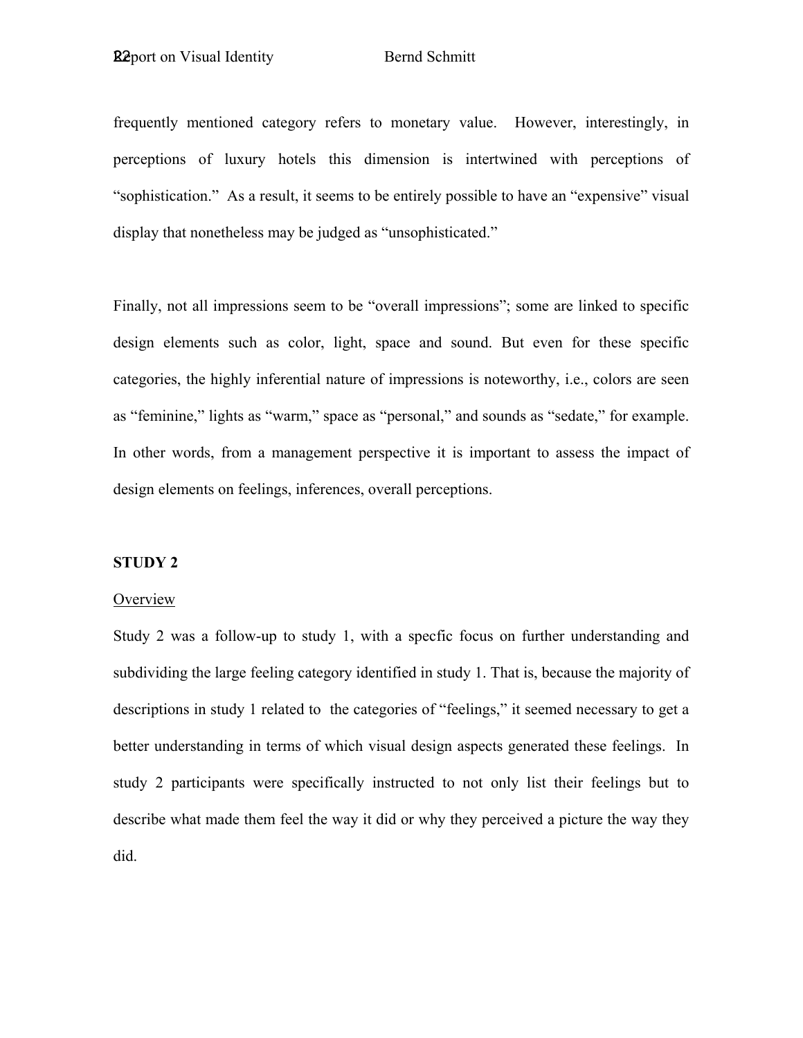frequently mentioned category refers to monetary value. However, interestingly, in perceptions of luxury hotels this dimension is intertwined with perceptions of "sophistication." As a result, it seems to be entirely possible to have an "expensive" visual display that nonetheless may be judged as "unsophisticated."

Finally, not all impressions seem to be "overall impressions"; some are linked to specific design elements such as color, light, space and sound. But even for these specific categories, the highly inferential nature of impressions is noteworthy, i.e., colors are seen as "feminine," lights as "warm," space as "personal," and sounds as "sedate," for example. In other words, from a management perspective it is important to assess the impact of design elements on feelings, inferences, overall perceptions.

### **STUDY 2**

#### **Overview**

Study 2 was a follow-up to study 1, with a specfic focus on further understanding and subdividing the large feeling category identified in study 1. That is, because the majority of descriptions in study 1 related to the categories of "feelings," it seemed necessary to get a better understanding in terms of which visual design aspects generated these feelings. In study 2 participants were specifically instructed to not only list their feelings but to describe what made them feel the way it did or why they perceived a picture the way they did.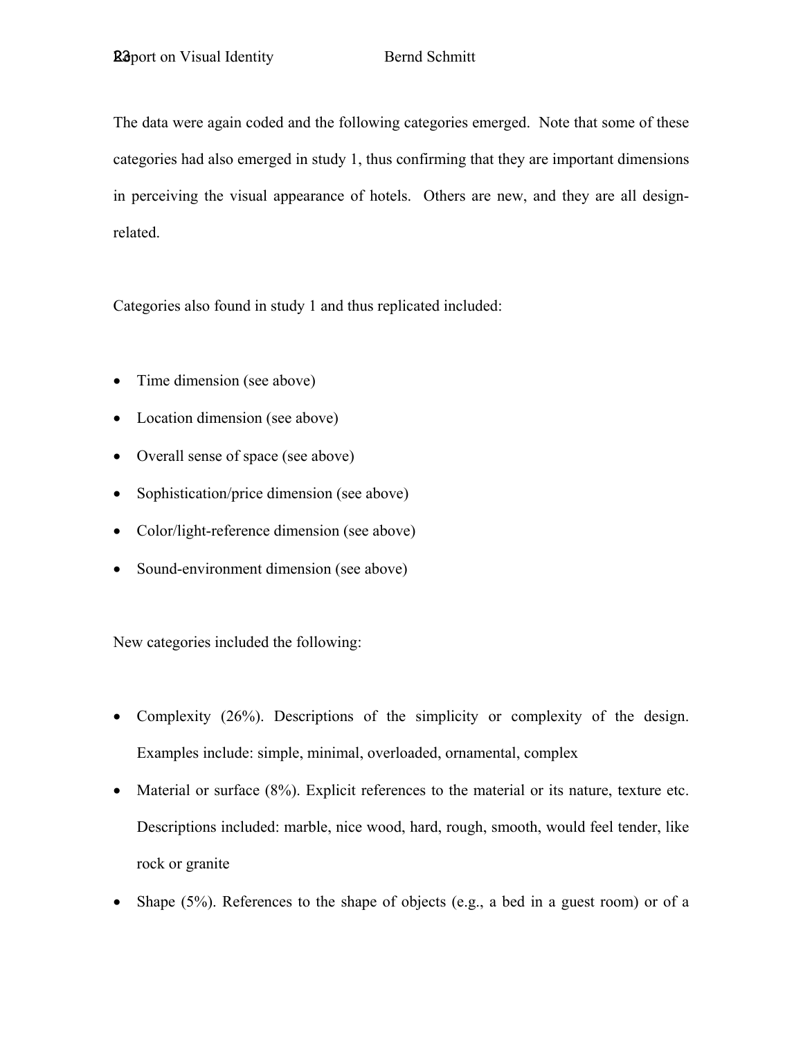The data were again coded and the following categories emerged. Note that some of these categories had also emerged in study 1, thus confirming that they are important dimensions in perceiving the visual appearance of hotels. Others are new, and they are all designrelated.

Categories also found in study 1 and thus replicated included:

- Time dimension (see above)
- Location dimension (see above)
- Overall sense of space (see above)
- Sophistication/price dimension (see above)
- Color/light-reference dimension (see above)
- Sound-environment dimension (see above)

New categories included the following:

- Complexity (26%). Descriptions of the simplicity or complexity of the design. Examples include: simple, minimal, overloaded, ornamental, complex
- Material or surface (8%). Explicit references to the material or its nature, texture etc. Descriptions included: marble, nice wood, hard, rough, smooth, would feel tender, like rock or granite
- Shape  $(5\%)$ . References to the shape of objects (e.g., a bed in a guest room) or of a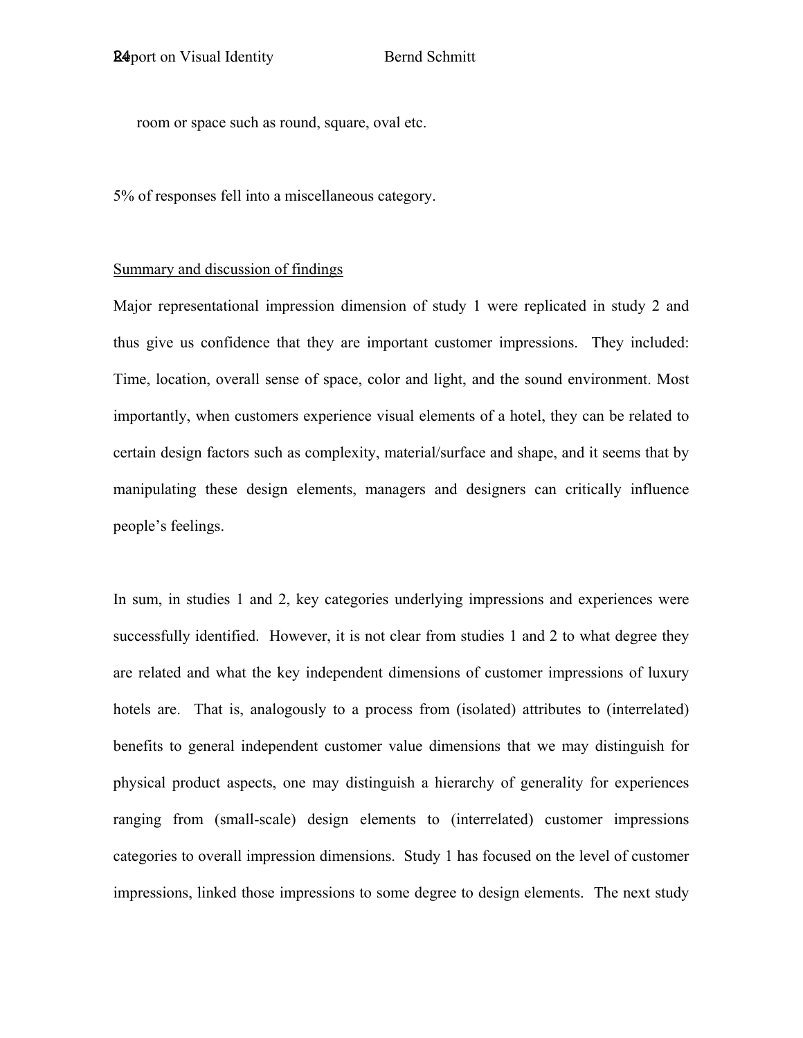room or space such as round, square, oval etc.

5% of responses fell into a miscellaneous category.

### Summary and discussion of findings

Major representational impression dimension of study 1 were replicated in study 2 and thus give us confidence that they are important customer impressions. They included: Time, location, overall sense of space, color and light, and the sound environment. Most importantly, when customers experience visual elements of a hotel, they can be related to certain design factors such as complexity, material/surface and shape, and it seems that by manipulating these design elements, managers and designers can critically influence people's feelings.

In sum, in studies 1 and 2, key categories underlying impressions and experiences were successfully identified. However, it is not clear from studies 1 and 2 to what degree they are related and what the key independent dimensions of customer impressions of luxury hotels are. That is, analogously to a process from (isolated) attributes to (interrelated) benefits to general independent customer value dimensions that we may distinguish for physical product aspects, one may distinguish a hierarchy of generality for experiences ranging from (small-scale) design elements to (interrelated) customer impressions categories to overall impression dimensions. Study 1 has focused on the level of customer impressions, linked those impressions to some degree to design elements. The next study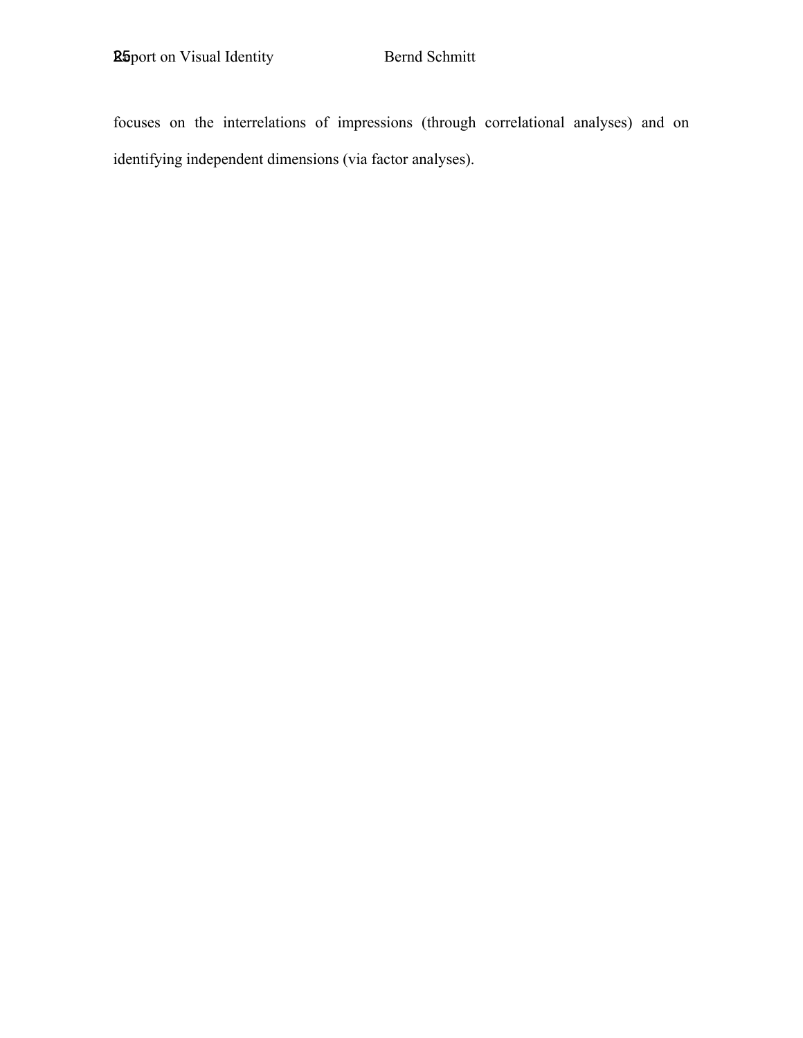focuses on the interrelations of impressions (through correlational analyses) and on identifying independent dimensions (via factor analyses).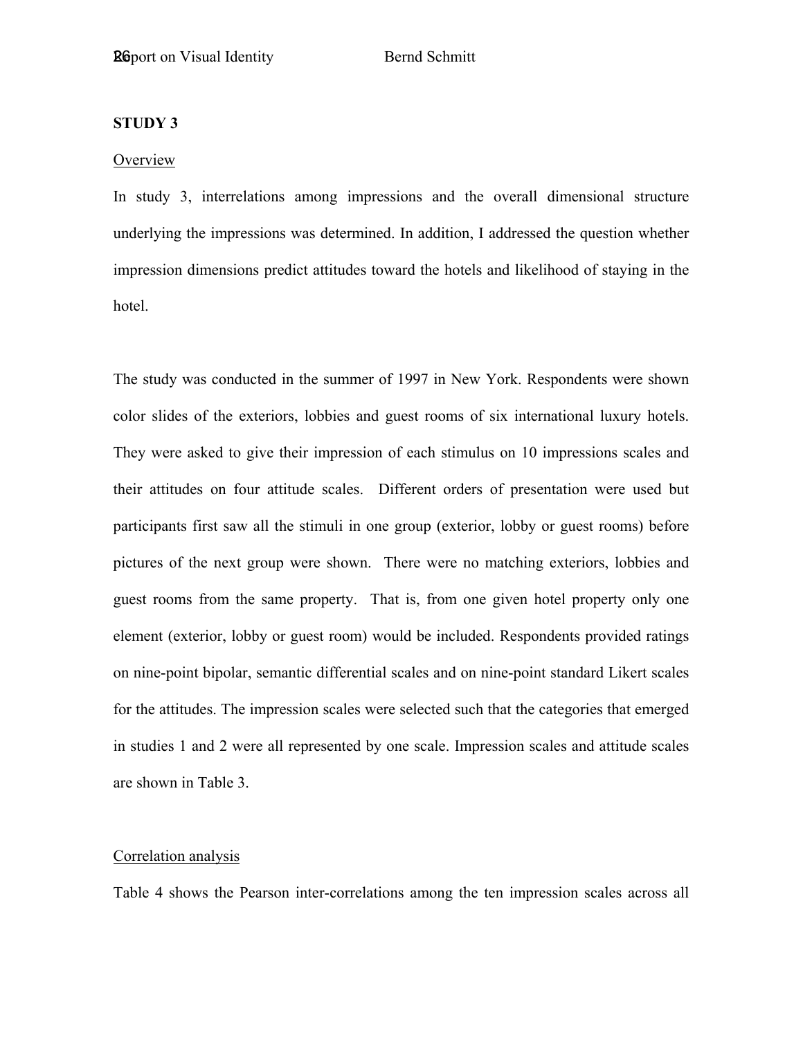### **STUDY 3**

### **Overview**

In study 3, interrelations among impressions and the overall dimensional structure underlying the impressions was determined. In addition, I addressed the question whether impression dimensions predict attitudes toward the hotels and likelihood of staying in the hotel.

The study was conducted in the summer of 1997 in New York. Respondents were shown color slides of the exteriors, lobbies and guest rooms of six international luxury hotels. They were asked to give their impression of each stimulus on 10 impressions scales and their attitudes on four attitude scales. Different orders of presentation were used but participants first saw all the stimuli in one group (exterior, lobby or guest rooms) before pictures of the next group were shown. There were no matching exteriors, lobbies and guest rooms from the same property. That is, from one given hotel property only one element (exterior, lobby or guest room) would be included. Respondents provided ratings on nine-point bipolar, semantic differential scales and on nine-point standard Likert scales for the attitudes. The impression scales were selected such that the categories that emerged in studies 1 and 2 were all represented by one scale. Impression scales and attitude scales are shown in Table 3.

#### Correlation analysis

Table 4 shows the Pearson inter-correlations among the ten impression scales across all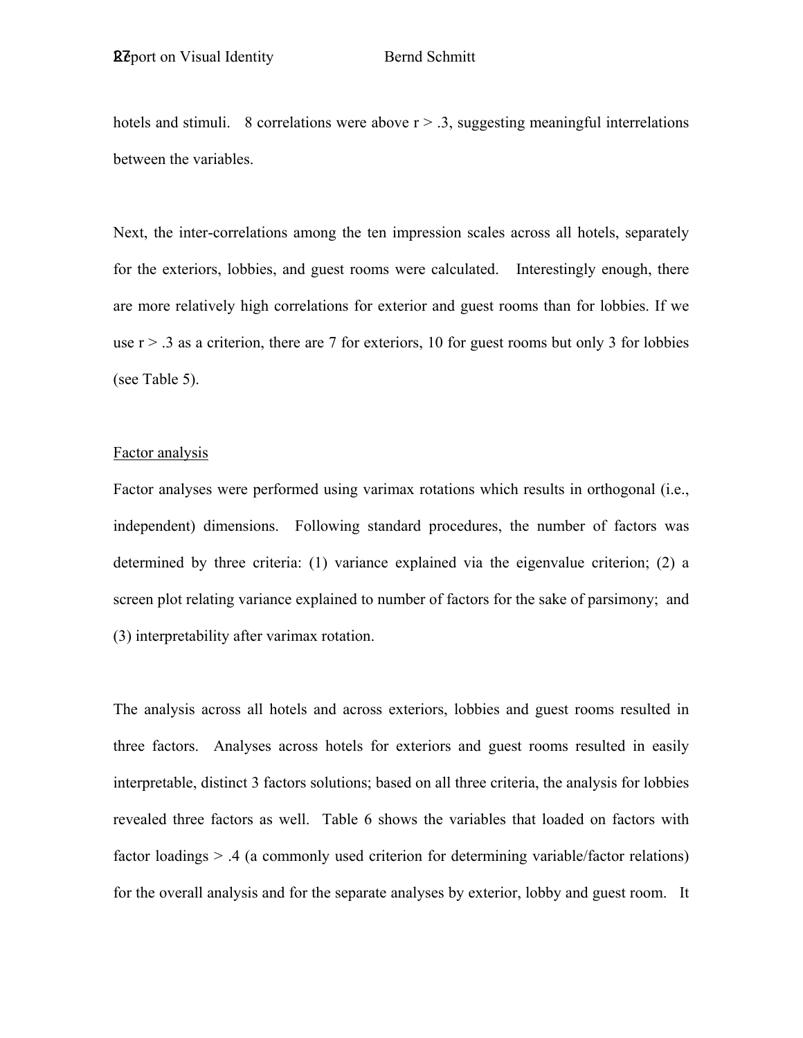hotels and stimuli. 8 correlations were above  $r > .3$ , suggesting meaningful interrelations between the variables.

Next, the inter-correlations among the ten impression scales across all hotels, separately for the exteriors, lobbies, and guest rooms were calculated. Interestingly enough, there are more relatively high correlations for exterior and guest rooms than for lobbies. If we use  $r > 0.3$  as a criterion, there are 7 for exteriors, 10 for guest rooms but only 3 for lobbies (see Table 5).

#### Factor analysis

Factor analyses were performed using varimax rotations which results in orthogonal (i.e., independent) dimensions. Following standard procedures, the number of factors was determined by three criteria: (1) variance explained via the eigenvalue criterion; (2) a screen plot relating variance explained to number of factors for the sake of parsimony; and (3) interpretability after varimax rotation.

The analysis across all hotels and across exteriors, lobbies and guest rooms resulted in three factors. Analyses across hotels for exteriors and guest rooms resulted in easily interpretable, distinct 3 factors solutions; based on all three criteria, the analysis for lobbies revealed three factors as well. Table 6 shows the variables that loaded on factors with factor loadings > .4 (a commonly used criterion for determining variable/factor relations) for the overall analysis and for the separate analyses by exterior, lobby and guest room. It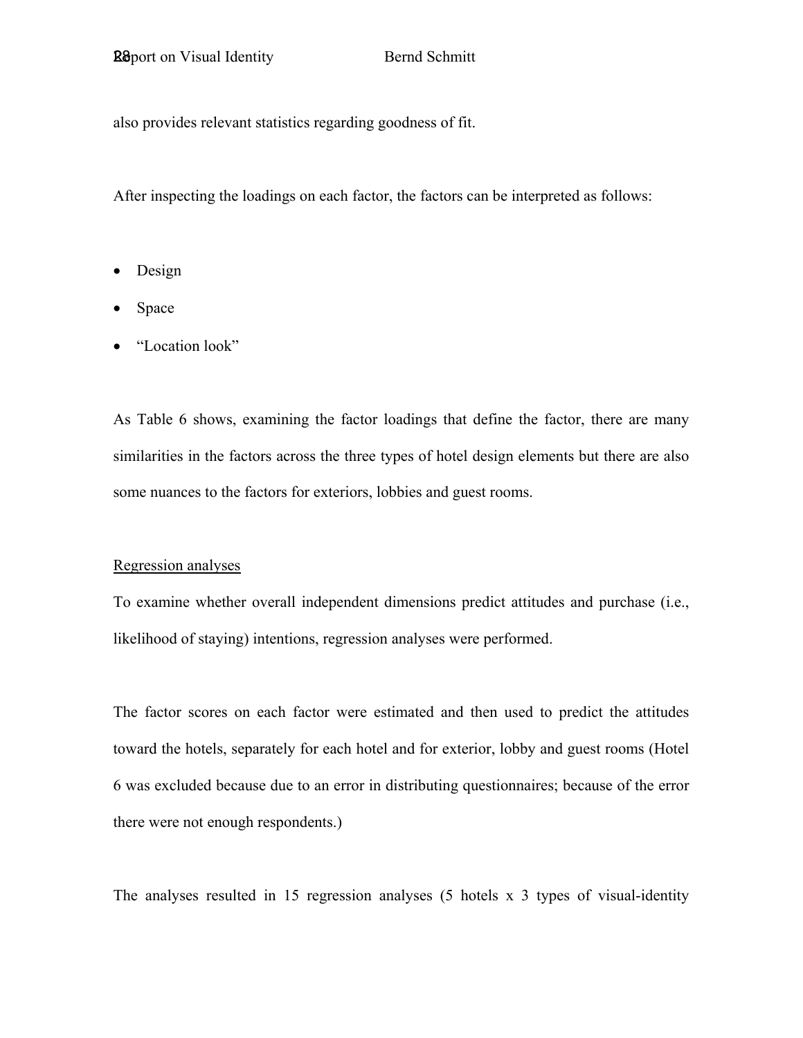also provides relevant statistics regarding goodness of fit.

After inspecting the loadings on each factor, the factors can be interpreted as follows:

- Design
- Space
- "Location look"

As Table 6 shows, examining the factor loadings that define the factor, there are many similarities in the factors across the three types of hotel design elements but there are also some nuances to the factors for exteriors, lobbies and guest rooms.

### Regression analyses

To examine whether overall independent dimensions predict attitudes and purchase (i.e., likelihood of staying) intentions, regression analyses were performed.

The factor scores on each factor were estimated and then used to predict the attitudes toward the hotels, separately for each hotel and for exterior, lobby and guest rooms (Hotel 6 was excluded because due to an error in distributing questionnaires; because of the error there were not enough respondents.)

The analyses resulted in 15 regression analyses (5 hotels x 3 types of visual-identity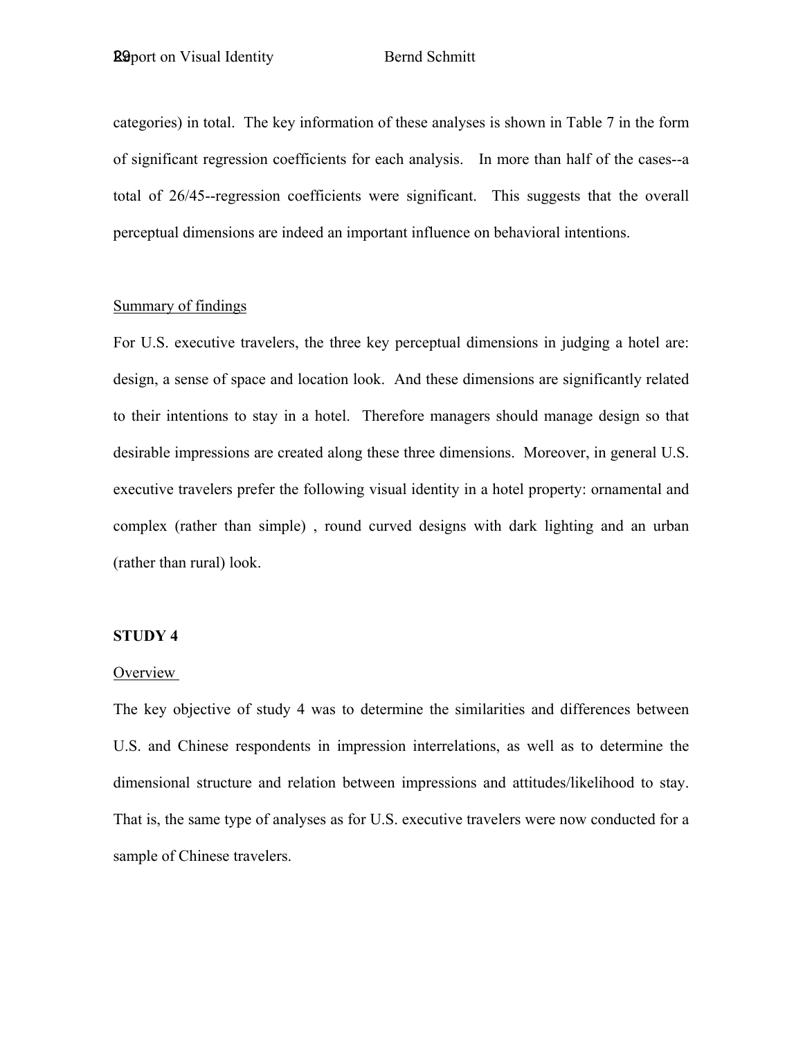categories) in total. The key information of these analyses is shown in Table 7 in the form of significant regression coefficients for each analysis. In more than half of the cases--a total of 26/45--regression coefficients were significant. This suggests that the overall perceptual dimensions are indeed an important influence on behavioral intentions.

### Summary of findings

For U.S. executive travelers, the three key perceptual dimensions in judging a hotel are: design, a sense of space and location look. And these dimensions are significantly related to their intentions to stay in a hotel. Therefore managers should manage design so that desirable impressions are created along these three dimensions. Moreover, in general U.S. executive travelers prefer the following visual identity in a hotel property: ornamental and complex (rather than simple) , round curved designs with dark lighting and an urban (rather than rural) look.

#### **STUDY 4**

### **Overview**

The key objective of study 4 was to determine the similarities and differences between U.S. and Chinese respondents in impression interrelations, as well as to determine the dimensional structure and relation between impressions and attitudes/likelihood to stay. That is, the same type of analyses as for U.S. executive travelers were now conducted for a sample of Chinese travelers.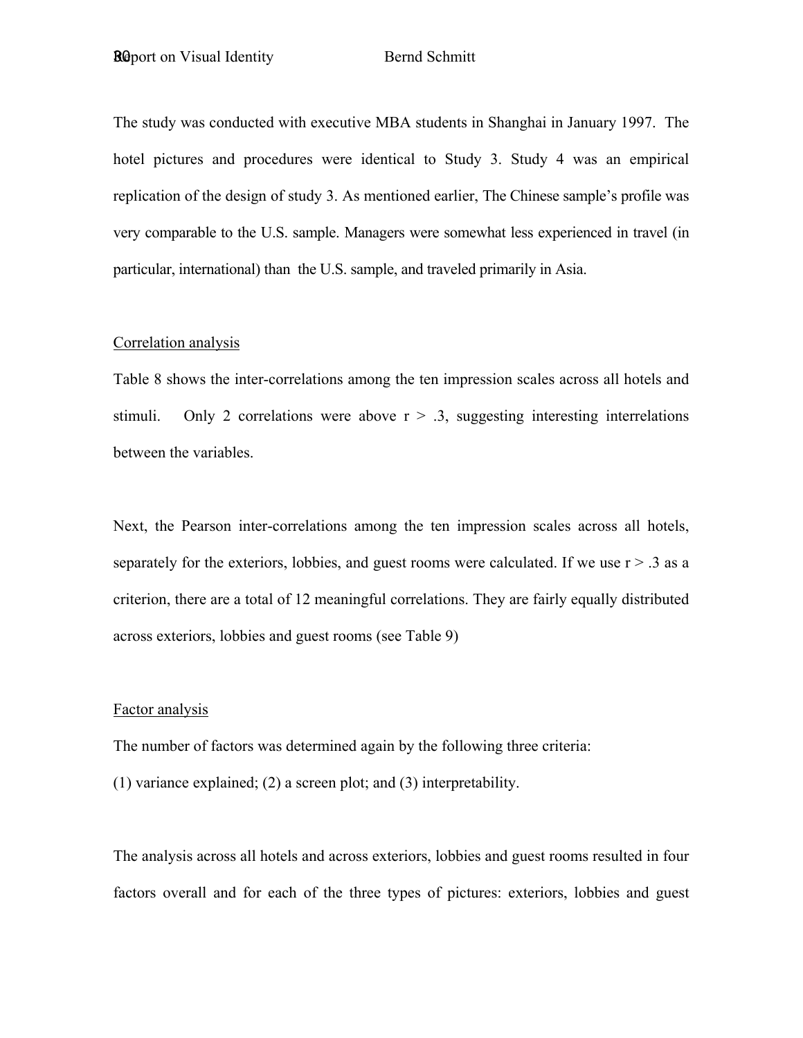The study was conducted with executive MBA students in Shanghai in January 1997. The hotel pictures and procedures were identical to Study 3. Study 4 was an empirical replication of the design of study 3. As mentioned earlier, The Chinese sample's profile was very comparable to the U.S. sample. Managers were somewhat less experienced in travel (in particular, international) than the U.S. sample, and traveled primarily in Asia.

#### Correlation analysis

Table 8 shows the inter-correlations among the ten impression scales across all hotels and stimuli. Only 2 correlations were above  $r > 0.3$ , suggesting interesting interrelations between the variables.

Next, the Pearson inter-correlations among the ten impression scales across all hotels, separately for the exteriors, lobbies, and guest rooms were calculated. If we use  $r > .3$  as a criterion, there are a total of 12 meaningful correlations. They are fairly equally distributed across exteriors, lobbies and guest rooms (see Table 9)

#### Factor analysis

The number of factors was determined again by the following three criteria:

(1) variance explained; (2) a screen plot; and (3) interpretability.

The analysis across all hotels and across exteriors, lobbies and guest rooms resulted in four factors overall and for each of the three types of pictures: exteriors, lobbies and guest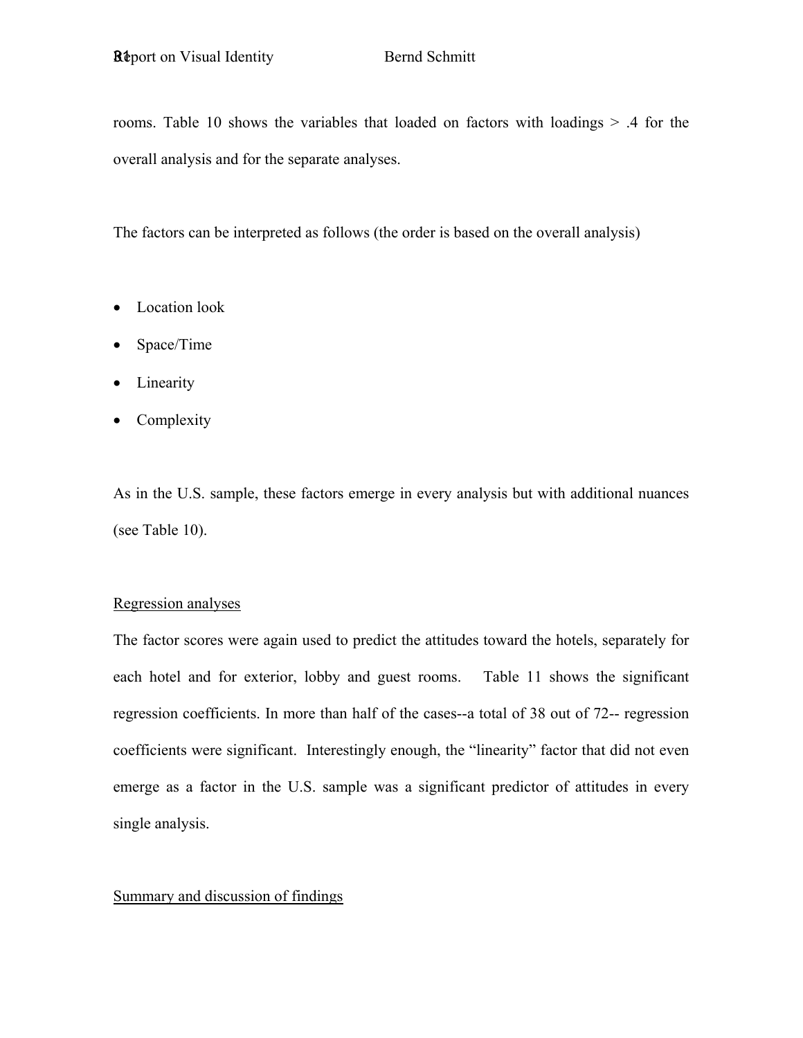rooms. Table 10 shows the variables that loaded on factors with loadings > .4 for the overall analysis and for the separate analyses.

The factors can be interpreted as follows (the order is based on the overall analysis)

- Location look
- Space/Time
- Linearity
- **Complexity**

As in the U.S. sample, these factors emerge in every analysis but with additional nuances (see Table 10).

### Regression analyses

The factor scores were again used to predict the attitudes toward the hotels, separately for each hotel and for exterior, lobby and guest rooms. Table 11 shows the significant regression coefficients. In more than half of the cases--a total of 38 out of 72-- regression coefficients were significant. Interestingly enough, the "linearity" factor that did not even emerge as a factor in the U.S. sample was a significant predictor of attitudes in every single analysis.

### Summary and discussion of findings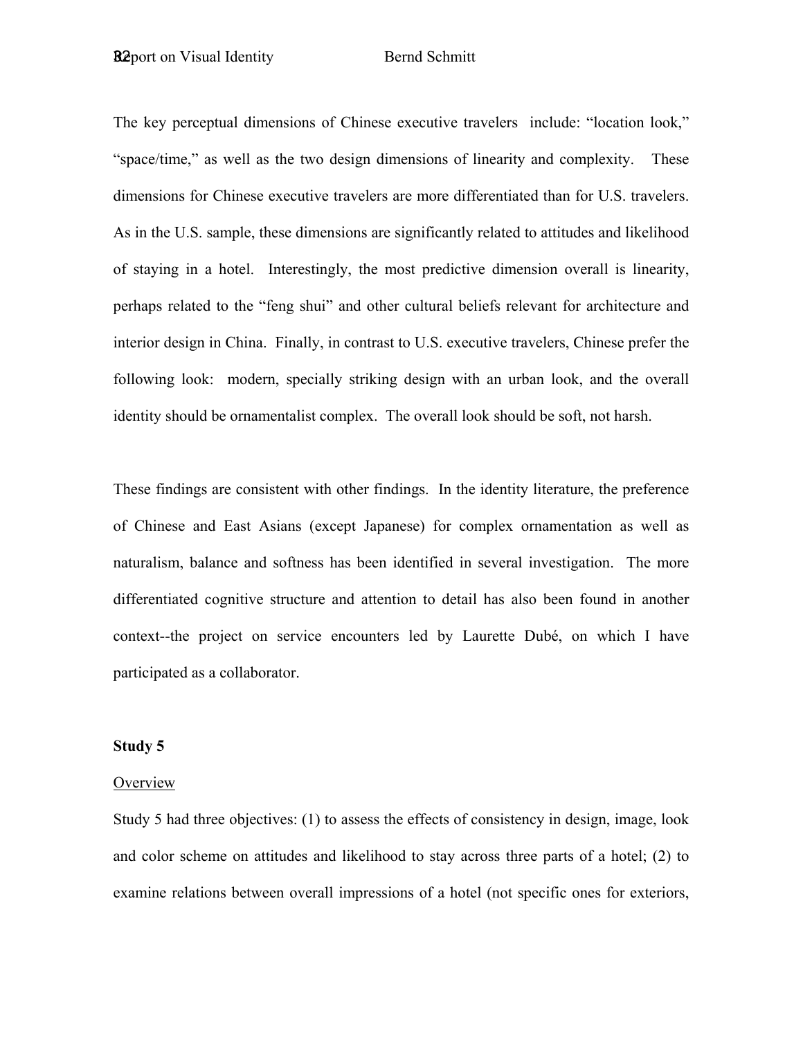The key perceptual dimensions of Chinese executive travelers include: "location look," "space/time," as well as the two design dimensions of linearity and complexity. These dimensions for Chinese executive travelers are more differentiated than for U.S. travelers. As in the U.S. sample, these dimensions are significantly related to attitudes and likelihood of staying in a hotel. Interestingly, the most predictive dimension overall is linearity, perhaps related to the "feng shui" and other cultural beliefs relevant for architecture and interior design in China. Finally, in contrast to U.S. executive travelers, Chinese prefer the following look: modern, specially striking design with an urban look, and the overall identity should be ornamentalist complex. The overall look should be soft, not harsh.

These findings are consistent with other findings. In the identity literature, the preference of Chinese and East Asians (except Japanese) for complex ornamentation as well as naturalism, balance and softness has been identified in several investigation. The more differentiated cognitive structure and attention to detail has also been found in another context--the project on service encounters led by Laurette Dubé, on which I have participated as a collaborator.

### **Study 5**

#### **Overview**

Study 5 had three objectives: (1) to assess the effects of consistency in design, image, look and color scheme on attitudes and likelihood to stay across three parts of a hotel; (2) to examine relations between overall impressions of a hotel (not specific ones for exteriors,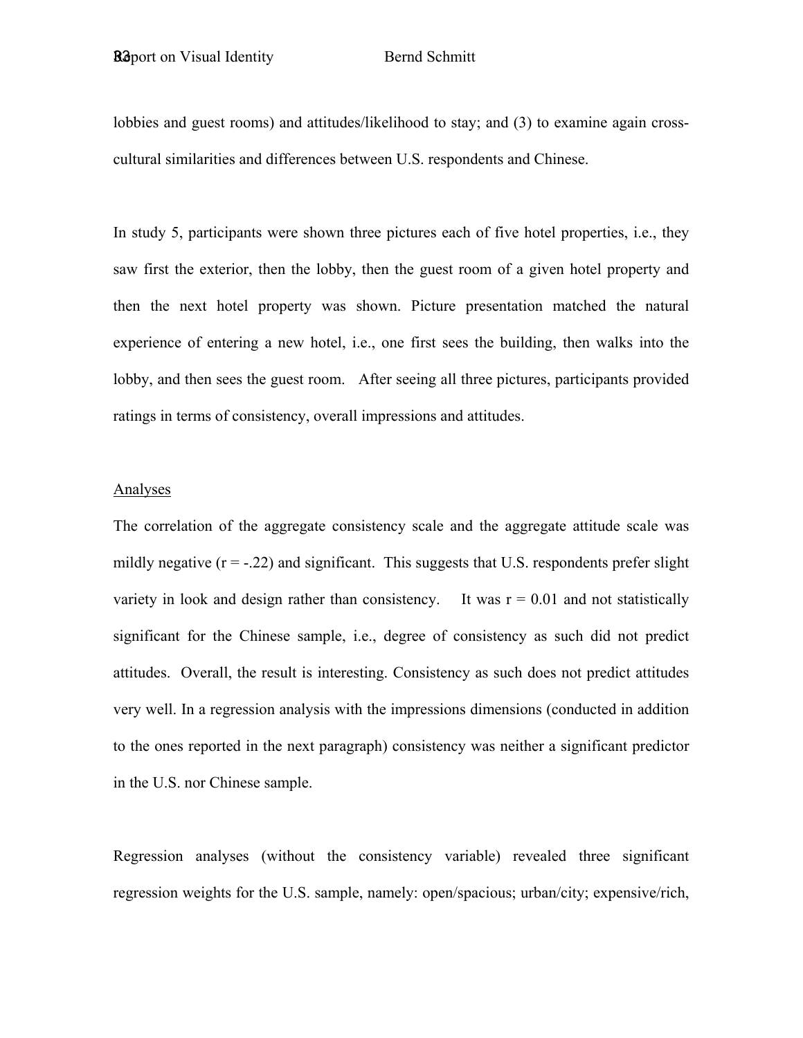lobbies and guest rooms) and attitudes/likelihood to stay; and (3) to examine again crosscultural similarities and differences between U.S. respondents and Chinese.

In study 5, participants were shown three pictures each of five hotel properties, i.e., they saw first the exterior, then the lobby, then the guest room of a given hotel property and then the next hotel property was shown. Picture presentation matched the natural experience of entering a new hotel, i.e., one first sees the building, then walks into the lobby, and then sees the guest room. After seeing all three pictures, participants provided ratings in terms of consistency, overall impressions and attitudes.

#### Analyses

The correlation of the aggregate consistency scale and the aggregate attitude scale was mildly negative  $(r = -0.22)$  and significant. This suggests that U.S. respondents prefer slight variety in look and design rather than consistency. It was  $r = 0.01$  and not statistically significant for the Chinese sample, i.e., degree of consistency as such did not predict attitudes. Overall, the result is interesting. Consistency as such does not predict attitudes very well. In a regression analysis with the impressions dimensions (conducted in addition to the ones reported in the next paragraph) consistency was neither a significant predictor in the U.S. nor Chinese sample.

Regression analyses (without the consistency variable) revealed three significant regression weights for the U.S. sample, namely: open/spacious; urban/city; expensive/rich,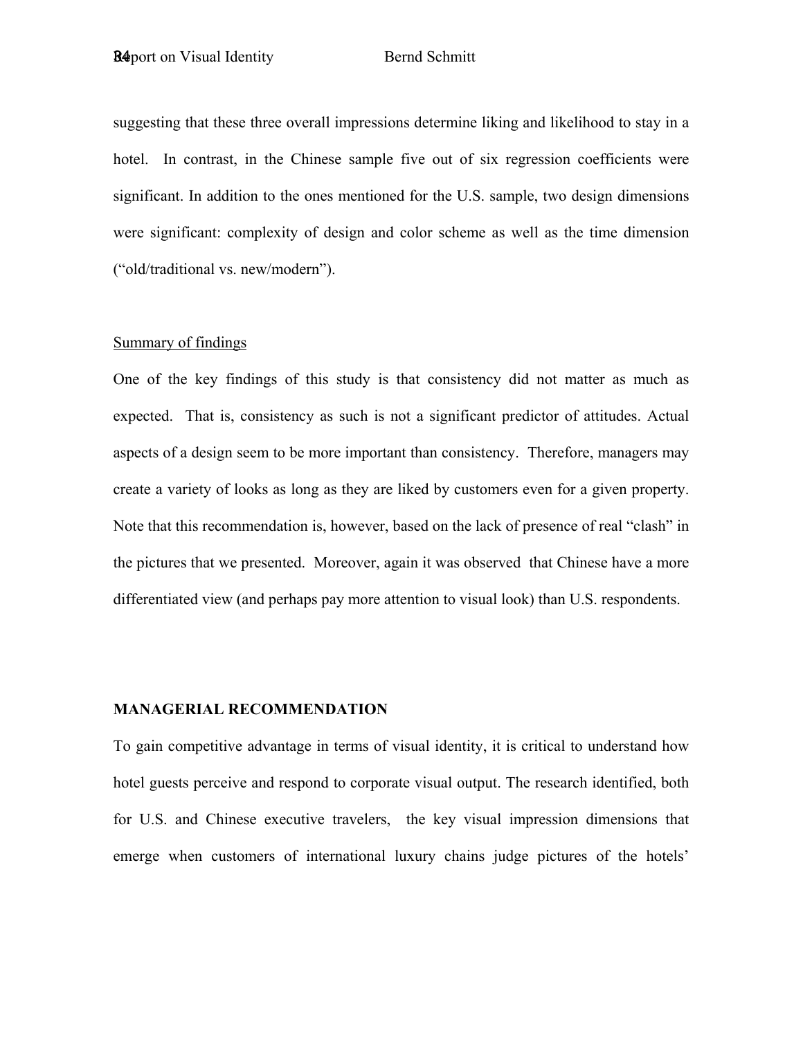suggesting that these three overall impressions determine liking and likelihood to stay in a hotel. In contrast, in the Chinese sample five out of six regression coefficients were significant. In addition to the ones mentioned for the U.S. sample, two design dimensions were significant: complexity of design and color scheme as well as the time dimension ("old/traditional vs. new/modern").

### Summary of findings

One of the key findings of this study is that consistency did not matter as much as expected. That is, consistency as such is not a significant predictor of attitudes. Actual aspects of a design seem to be more important than consistency. Therefore, managers may create a variety of looks as long as they are liked by customers even for a given property. Note that this recommendation is, however, based on the lack of presence of real "clash" in the pictures that we presented. Moreover, again it was observed that Chinese have a more differentiated view (and perhaps pay more attention to visual look) than U.S. respondents.

### **MANAGERIAL RECOMMENDATION**

To gain competitive advantage in terms of visual identity, it is critical to understand how hotel guests perceive and respond to corporate visual output. The research identified, both for U.S. and Chinese executive travelers, the key visual impression dimensions that emerge when customers of international luxury chains judge pictures of the hotels'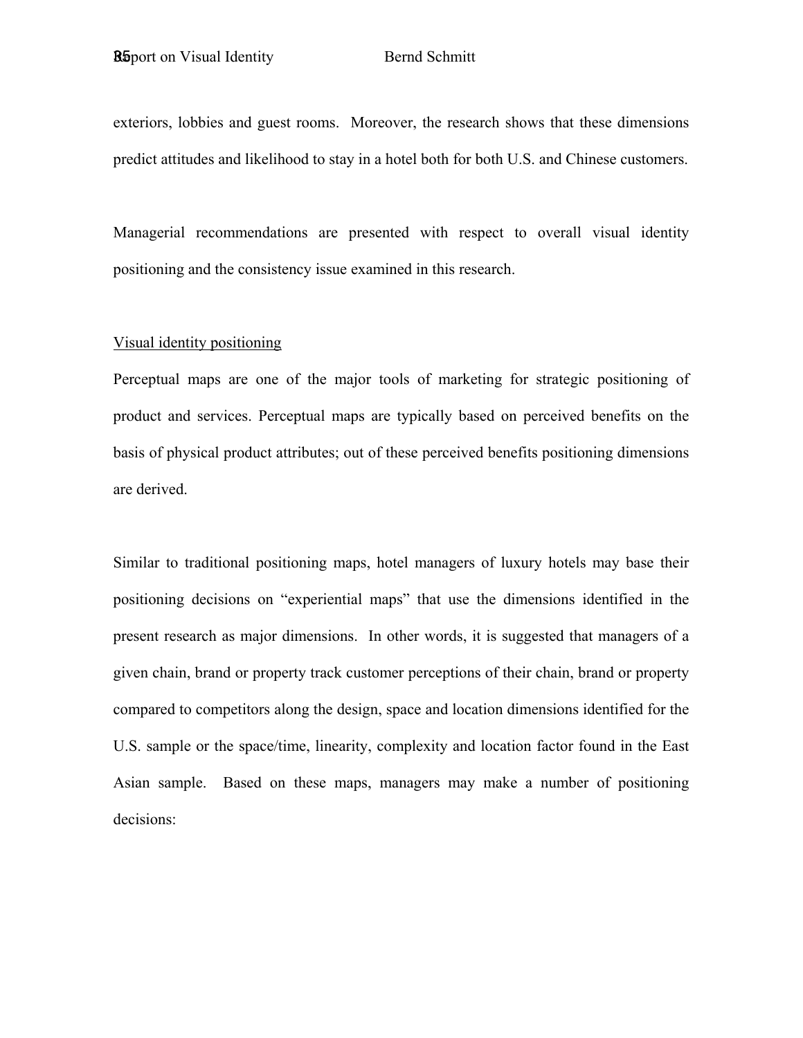exteriors, lobbies and guest rooms. Moreover, the research shows that these dimensions predict attitudes and likelihood to stay in a hotel both for both U.S. and Chinese customers.

Managerial recommendations are presented with respect to overall visual identity positioning and the consistency issue examined in this research.

#### Visual identity positioning

Perceptual maps are one of the major tools of marketing for strategic positioning of product and services. Perceptual maps are typically based on perceived benefits on the basis of physical product attributes; out of these perceived benefits positioning dimensions are derived.

Similar to traditional positioning maps, hotel managers of luxury hotels may base their positioning decisions on "experiential maps" that use the dimensions identified in the present research as major dimensions. In other words, it is suggested that managers of a given chain, brand or property track customer perceptions of their chain, brand or property compared to competitors along the design, space and location dimensions identified for the U.S. sample or the space/time, linearity, complexity and location factor found in the East Asian sample. Based on these maps, managers may make a number of positioning decisions: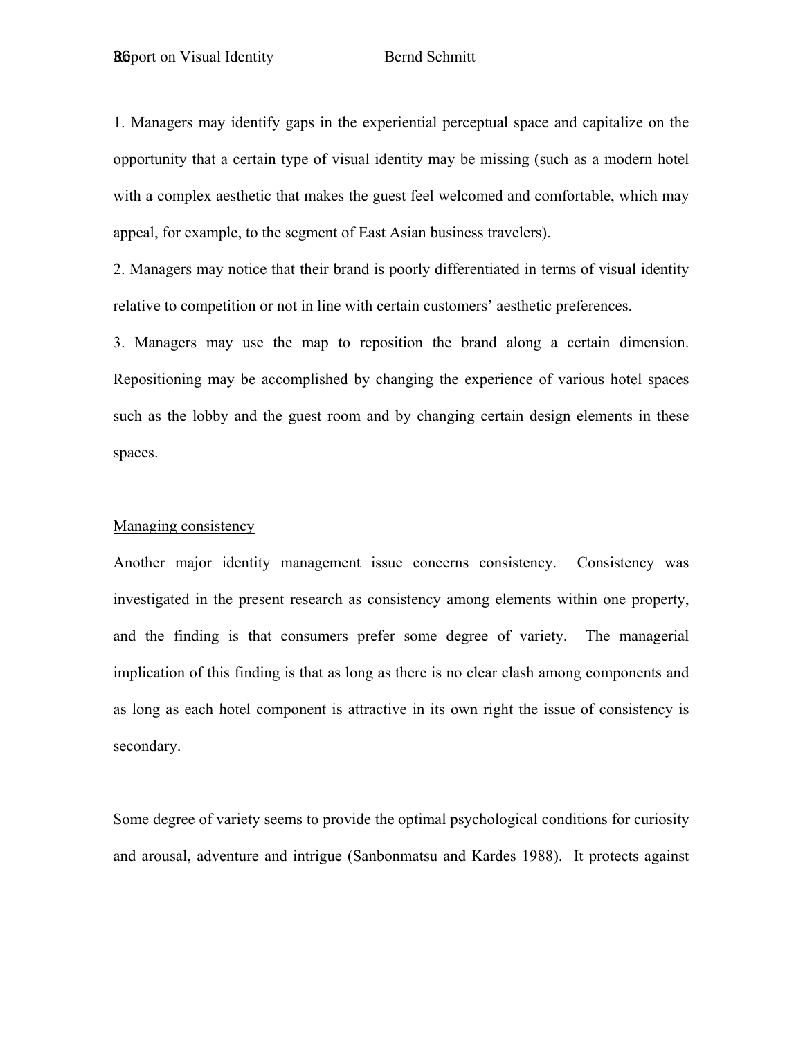1. Managers may identify gaps in the experiential perceptual space and capitalize on the opportunity that a certain type of visual identity may be missing (such as a modern hotel with a complex aesthetic that makes the guest feel welcomed and comfortable, which may appeal, for example, to the segment of East Asian business travelers).

2. Managers may notice that their brand is poorly differentiated in terms of visual identity relative to competition or not in line with certain customers' aesthetic preferences.

3. Managers may use the map to reposition the brand along a certain dimension. Repositioning may be accomplished by changing the experience of various hotel spaces such as the lobby and the guest room and by changing certain design elements in these spaces.

#### Managing consistency

Another major identity management issue concerns consistency. Consistency was investigated in the present research as consistency among elements within one property, and the finding is that consumers prefer some degree of variety. The managerial implication of this finding is that as long as there is no clear clash among components and as long as each hotel component is attractive in its own right the issue of consistency is secondary.

Some degree of variety seems to provide the optimal psychological conditions for curiosity and arousal, adventure and intrigue (Sanbonmatsu and Kardes 1988). It protects against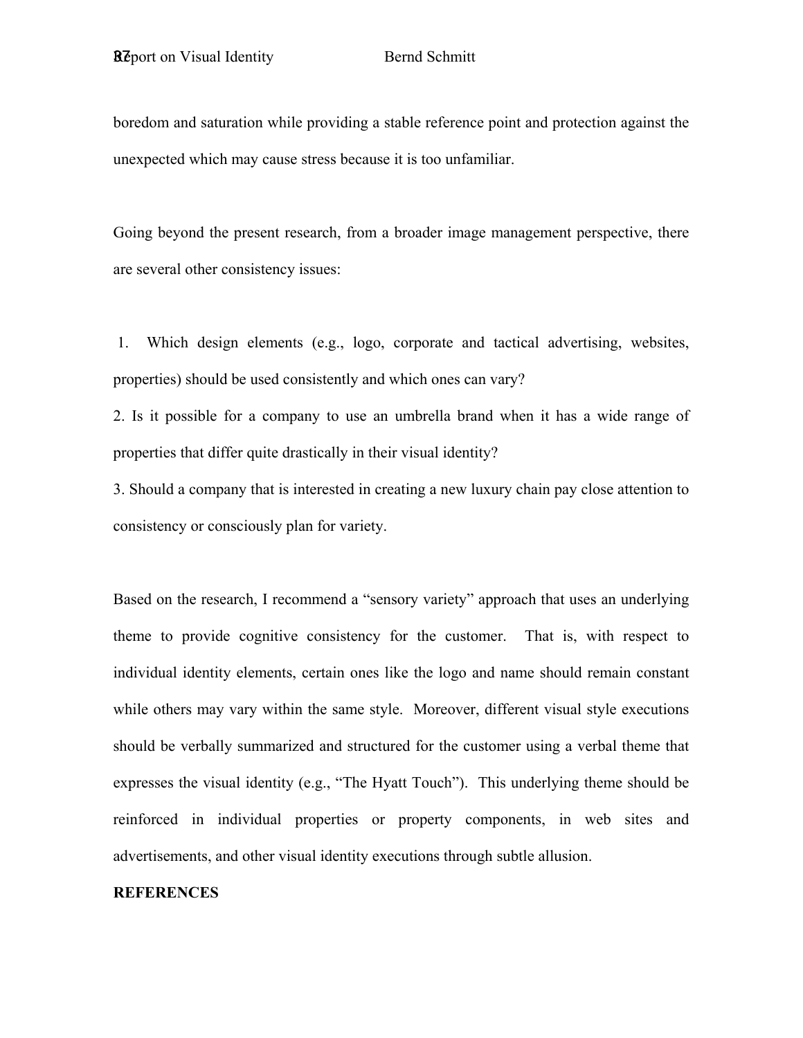boredom and saturation while providing a stable reference point and protection against the unexpected which may cause stress because it is too unfamiliar.

Going beyond the present research, from a broader image management perspective, there are several other consistency issues:

 1. Which design elements (e.g., logo, corporate and tactical advertising, websites, properties) should be used consistently and which ones can vary?

2. Is it possible for a company to use an umbrella brand when it has a wide range of properties that differ quite drastically in their visual identity?

3. Should a company that is interested in creating a new luxury chain pay close attention to consistency or consciously plan for variety.

Based on the research, I recommend a "sensory variety" approach that uses an underlying theme to provide cognitive consistency for the customer. That is, with respect to individual identity elements, certain ones like the logo and name should remain constant while others may vary within the same style. Moreover, different visual style executions should be verbally summarized and structured for the customer using a verbal theme that expresses the visual identity (e.g., "The Hyatt Touch"). This underlying theme should be reinforced in individual properties or property components, in web sites and advertisements, and other visual identity executions through subtle allusion.

#### **REFERENCES**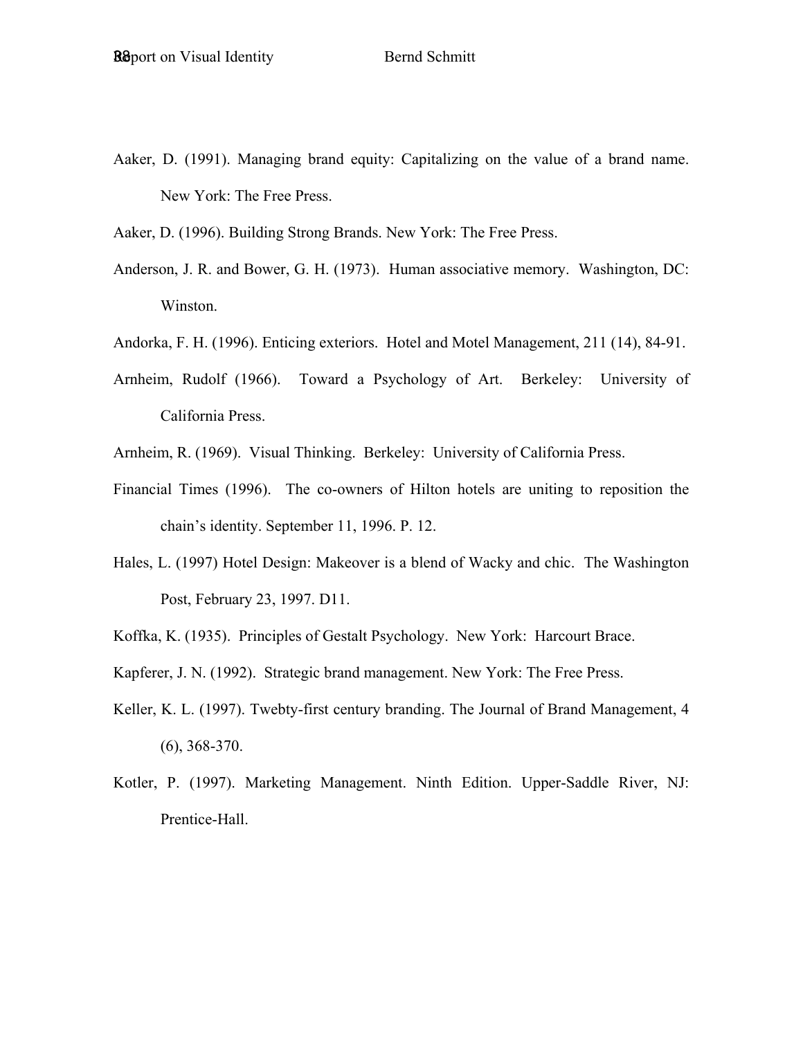Aaker, D. (1991). Managing brand equity: Capitalizing on the value of a brand name. New York: The Free Press.

Aaker, D. (1996). Building Strong Brands. New York: The Free Press.

- Anderson, J. R. and Bower, G. H. (1973). Human associative memory. Washington, DC: Winston.
- Andorka, F. H. (1996). Enticing exteriors. Hotel and Motel Management, 211 (14), 84-91.
- Arnheim, Rudolf (1966). Toward a Psychology of Art. Berkeley: University of California Press.
- Arnheim, R. (1969). Visual Thinking. Berkeley: University of California Press.
- Financial Times (1996). The co-owners of Hilton hotels are uniting to reposition the chain's identity. September 11, 1996. P. 12.
- Hales, L. (1997) Hotel Design: Makeover is a blend of Wacky and chic. The Washington Post, February 23, 1997. D11.
- Koffka, K. (1935). Principles of Gestalt Psychology. New York: Harcourt Brace.
- Kapferer, J. N. (1992). Strategic brand management. New York: The Free Press.
- Keller, K. L. (1997). Twebty-first century branding. The Journal of Brand Management, 4 (6), 368-370.
- Kotler, P. (1997). Marketing Management. Ninth Edition. Upper-Saddle River, NJ: Prentice-Hall.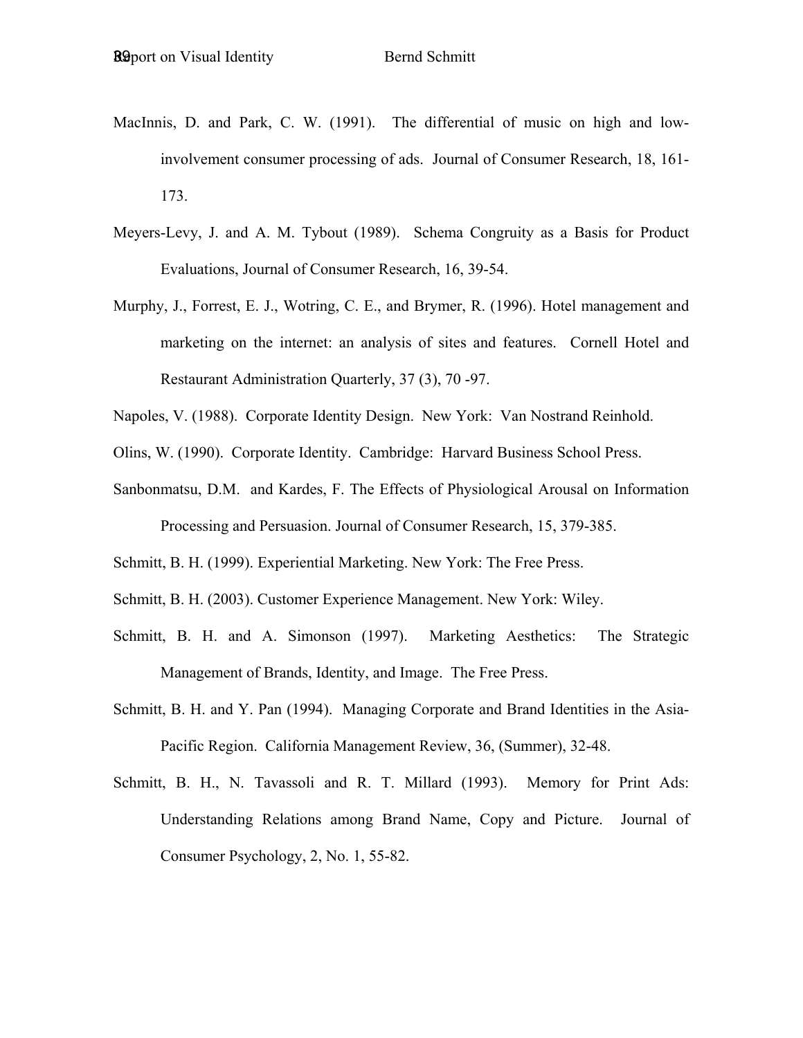- MacInnis, D. and Park, C. W. (1991). The differential of music on high and lowinvolvement consumer processing of ads. Journal of Consumer Research, 18, 161- 173.
- Meyers-Levy, J. and A. M. Tybout (1989). Schema Congruity as a Basis for Product Evaluations, Journal of Consumer Research, 16, 39-54.
- Murphy, J., Forrest, E. J., Wotring, C. E., and Brymer, R. (1996). Hotel management and marketing on the internet: an analysis of sites and features. Cornell Hotel and Restaurant Administration Quarterly, 37 (3), 70 -97.
- Napoles, V. (1988). Corporate Identity Design. New York: Van Nostrand Reinhold.
- Olins, W. (1990). Corporate Identity. Cambridge: Harvard Business School Press.
- Sanbonmatsu, D.M. and Kardes, F. The Effects of Physiological Arousal on Information Processing and Persuasion. Journal of Consumer Research, 15, 379-385.
- Schmitt, B. H. (1999). Experiential Marketing. New York: The Free Press.
- Schmitt, B. H. (2003). Customer Experience Management. New York: Wiley.
- Schmitt, B. H. and A. Simonson (1997). Marketing Aesthetics: The Strategic Management of Brands, Identity, and Image. The Free Press.
- Schmitt, B. H. and Y. Pan (1994). Managing Corporate and Brand Identities in the Asia-Pacific Region. California Management Review, 36, (Summer), 32-48.
- Schmitt, B. H., N. Tavassoli and R. T. Millard (1993). Memory for Print Ads: Understanding Relations among Brand Name, Copy and Picture. Journal of Consumer Psychology, 2, No. 1, 55-82.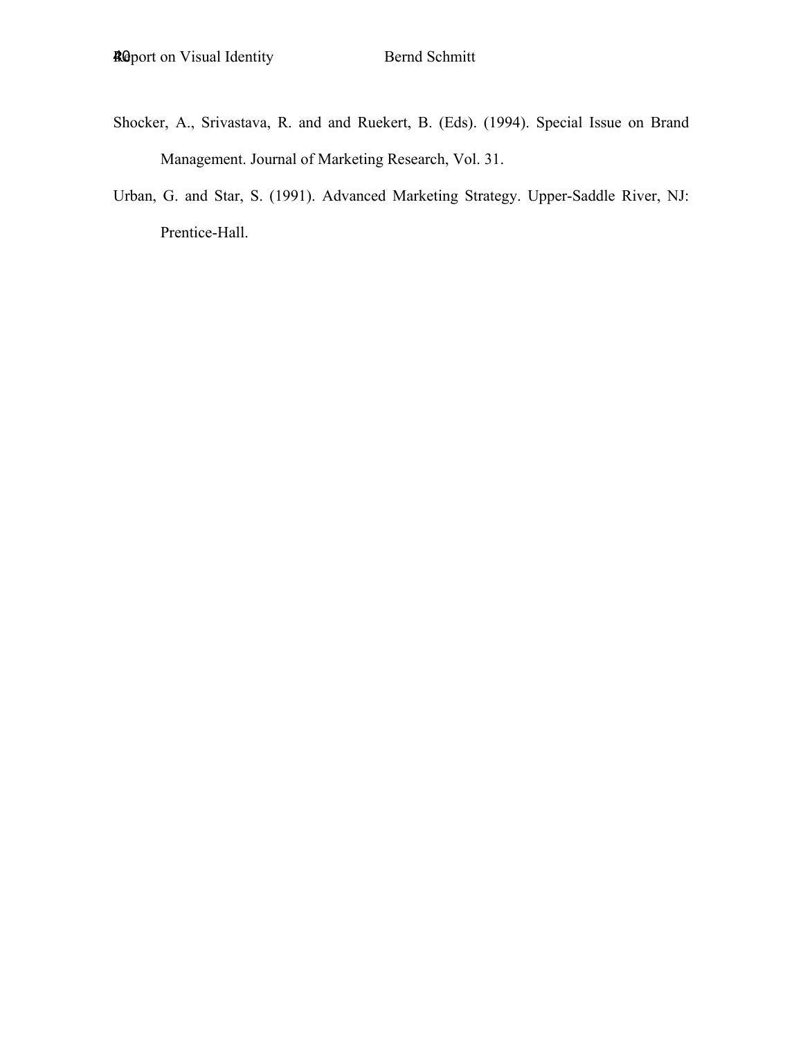- Shocker, A., Srivastava, R. and and Ruekert, B. (Eds). (1994). Special Issue on Brand Management. Journal of Marketing Research, Vol. 31.
- Urban, G. and Star, S. (1991). Advanced Marketing Strategy. Upper-Saddle River, NJ: Prentice-Hall.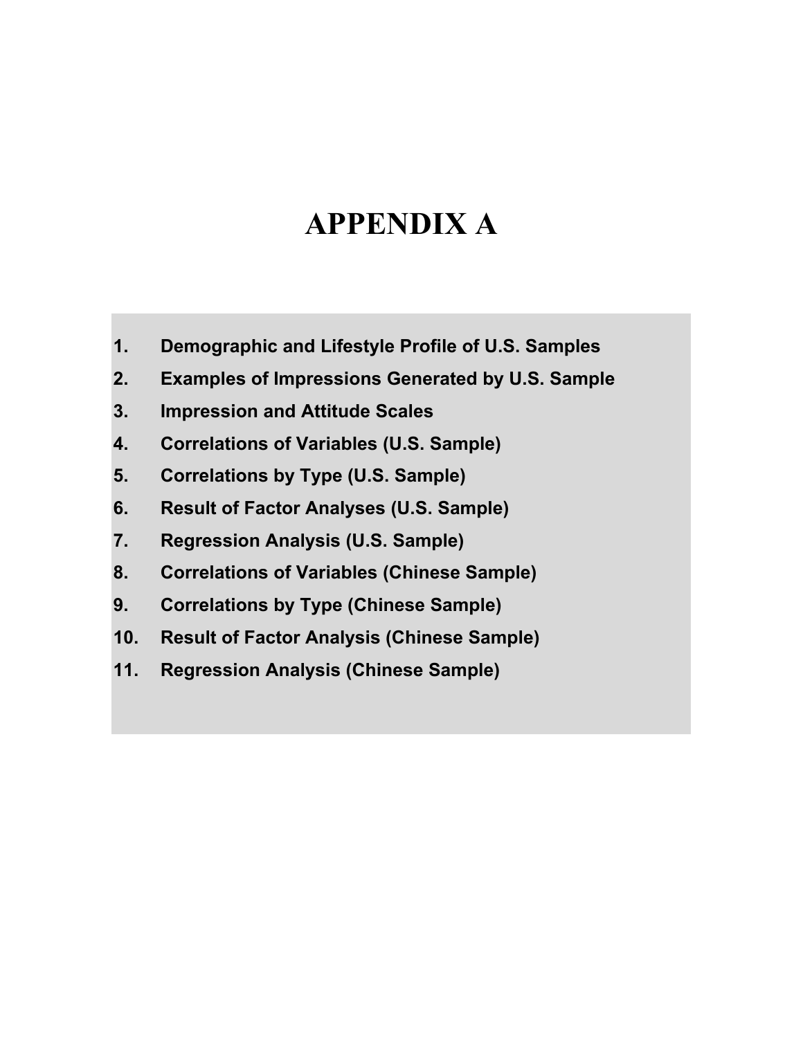# **APPENDIX A**

- **1. Demographic and Lifestyle Profile of U.S. Samples**
- **2. Examples of Impressions Generated by U.S. Sample**
- **3. Impression and Attitude Scales**
- **4. Correlations of Variables (U.S. Sample)**
- **5. Correlations by Type (U.S. Sample)**
- **6. Result of Factor Analyses (U.S. Sample)**
- **7. Regression Analysis (U.S. Sample)**
- **8. Correlations of Variables (Chinese Sample)**
- **9. Correlations by Type (Chinese Sample)**
- **10. Result of Factor Analysis (Chinese Sample)**
- **11. Regression Analysis (Chinese Sample)**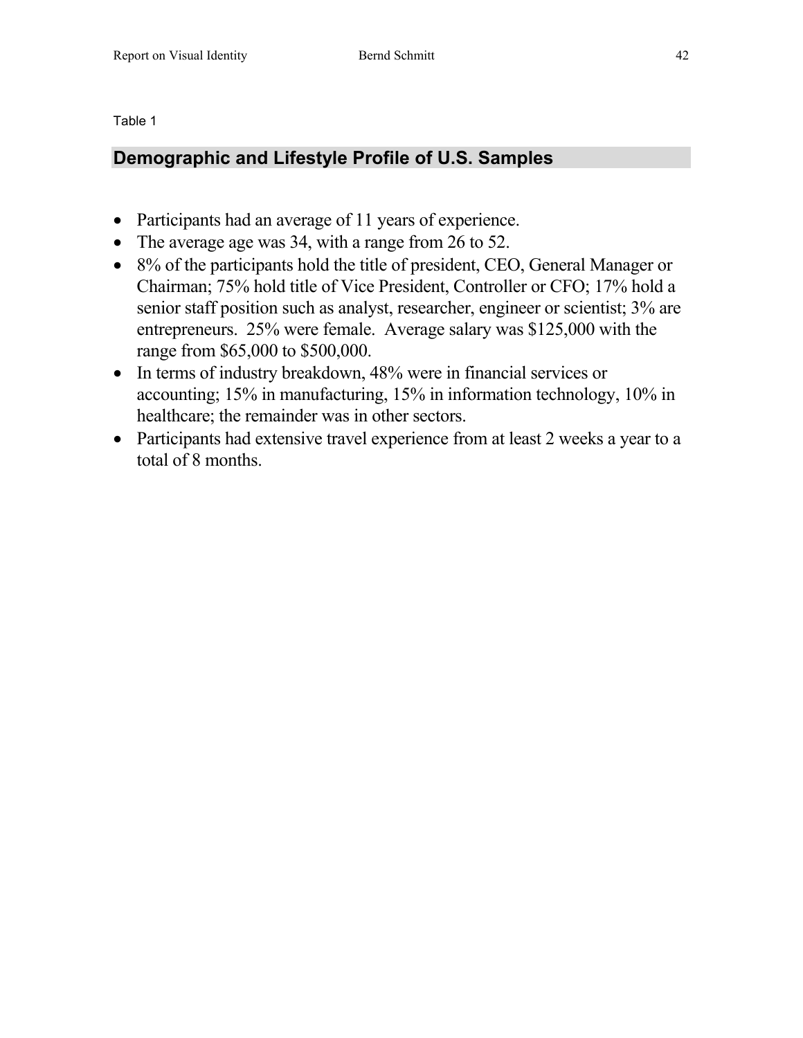### **Demographic and Lifestyle Profile of U.S. Samples**

- Participants had an average of 11 years of experience.
- The average age was 34, with a range from 26 to 52.
- 8% of the participants hold the title of president, CEO, General Manager or Chairman; 75% hold title of Vice President, Controller or CFO; 17% hold a senior staff position such as analyst, researcher, engineer or scientist; 3% are entrepreneurs. 25% were female. Average salary was \$125,000 with the range from \$65,000 to \$500,000.
- In terms of industry breakdown, 48% were in financial services or accounting; 15% in manufacturing, 15% in information technology, 10% in healthcare; the remainder was in other sectors.
- Participants had extensive travel experience from at least 2 weeks a year to a total of 8 months.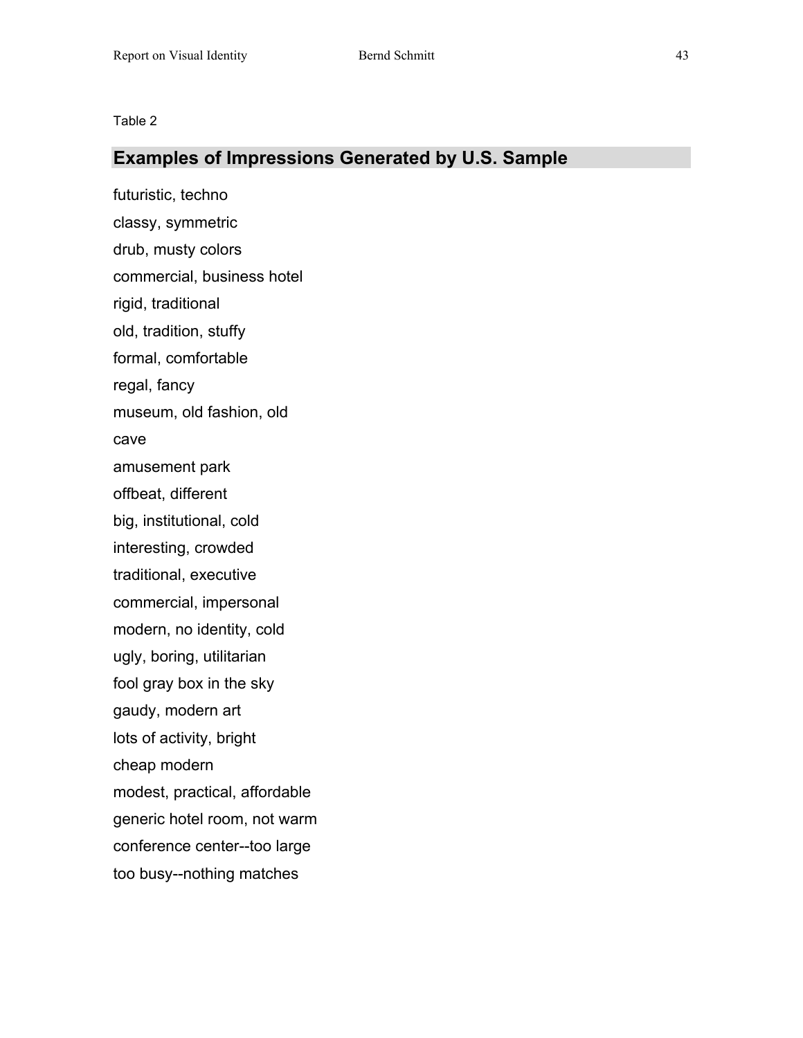### **Examples of Impressions Generated by U.S. Sample**

futuristic, techno classy, symmetric drub, musty colors commercial, business hotel rigid, traditional old, tradition, stuffy formal, comfortable regal, fancy museum, old fashion, old cave amusement park offbeat, different big, institutional, cold interesting, crowded traditional, executive commercial, impersonal modern, no identity, cold ugly, boring, utilitarian fool gray box in the sky gaudy, modern art lots of activity, bright cheap modern modest, practical, affordable generic hotel room, not warm conference center--too large too busy--nothing matches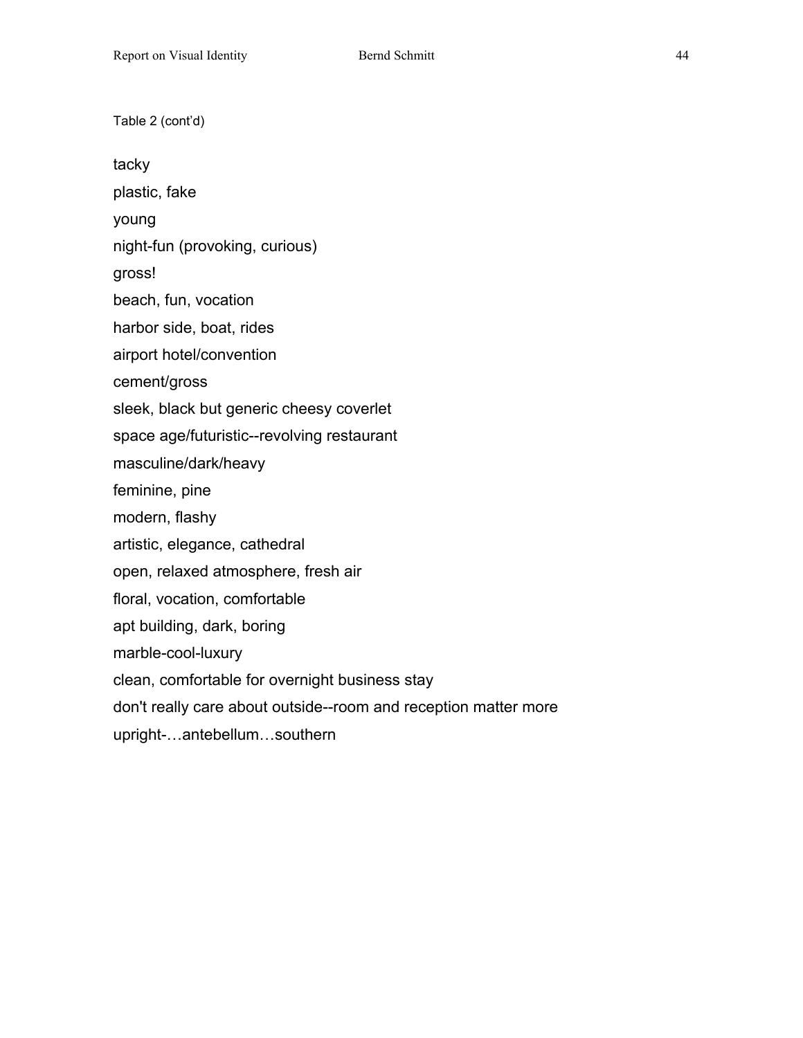Table 2 (cont'd) tacky plastic, fake young night-fun (provoking, curious) gross! beach, fun, vocation harbor side, boat, rides airport hotel/convention cement/gross sleek, black but generic cheesy coverlet space age/futuristic--revolving restaurant masculine/dark/heavy feminine, pine modern, flashy artistic, elegance, cathedral open, relaxed atmosphere, fresh air floral, vocation, comfortable apt building, dark, boring marble-cool-luxury clean, comfortable for overnight business stay don't really care about outside--room and reception matter more upright-…antebellum…southern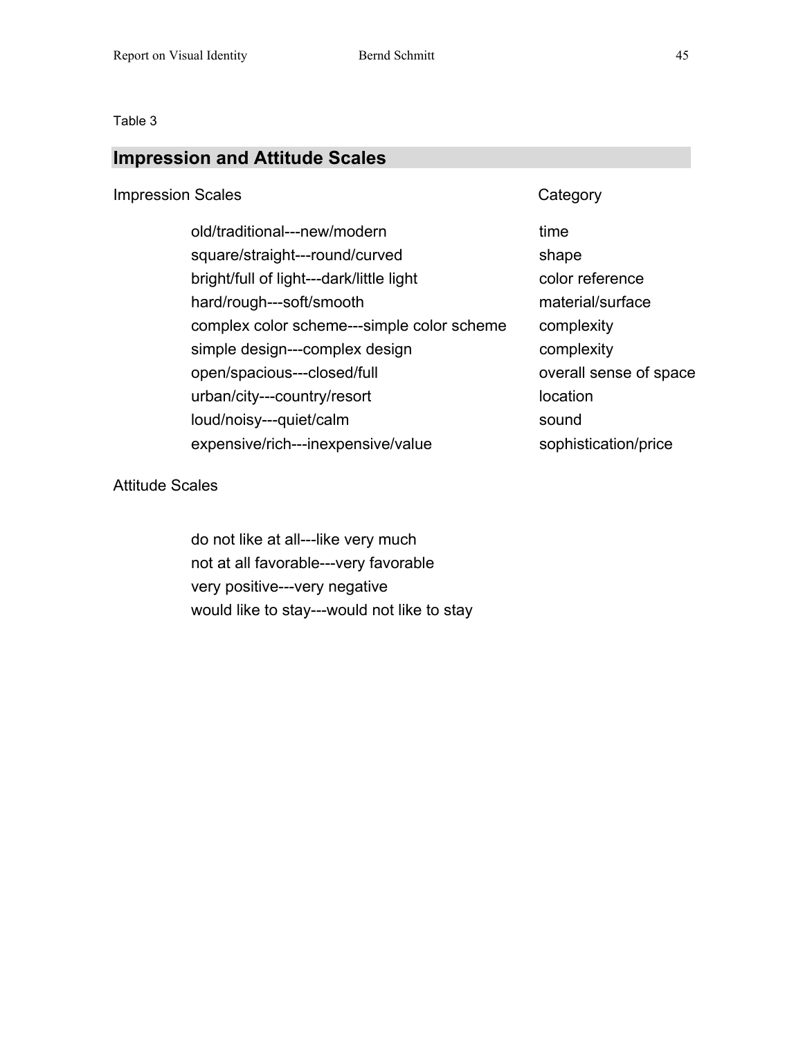### **Impression and Attitude Scales**

### Impression Scales **Category** Category

old/traditional---new/modern time square/straight---round/curved shape bright/full of light---dark/little light color reference hard/rough---soft/smooth material/surface complex color scheme---simple color scheme complexity simple design---complex design complexity open/spacious---closed/full open/spacious---closed/full overall sense of space urban/city---country/resort location loud/noisy---quiet/calm sound expensive/rich---inexpensive/value sophistication/price

### Attitude Scales

do not like at all---like very much not at all favorable---very favorable very positive---very negative would like to stay---would not like to stay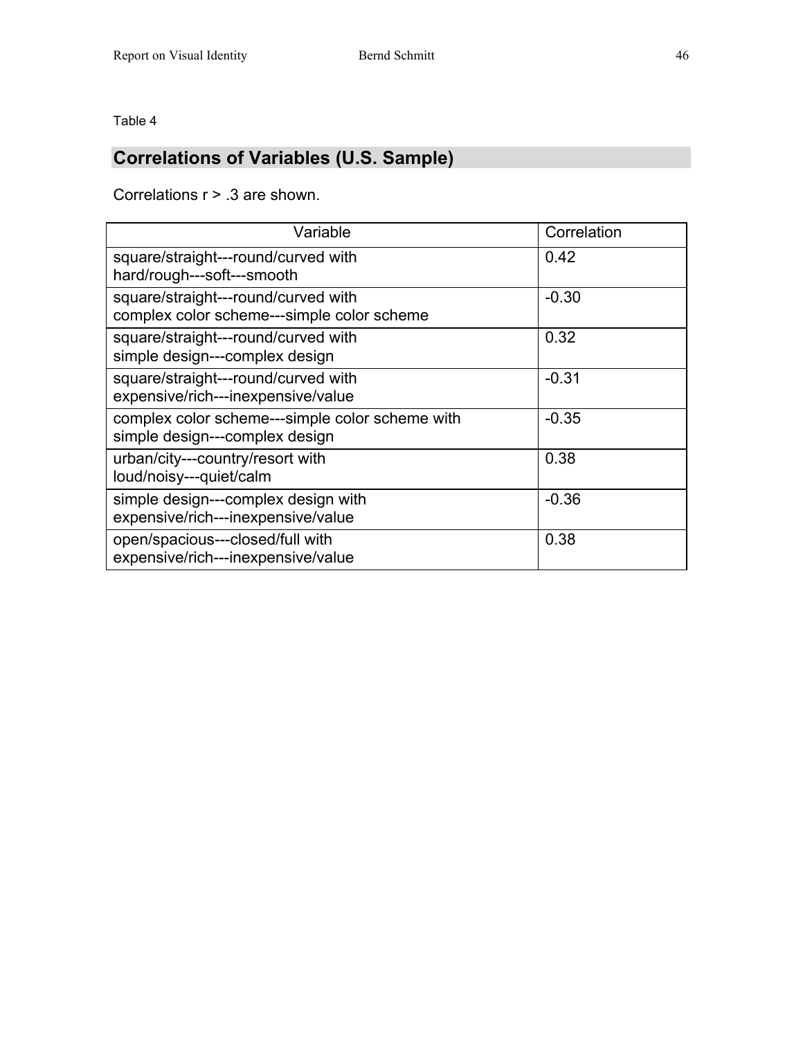## **Correlations of Variables (U.S. Sample)**

Correlations r > .3 are shown.

| Variable                                                                          | Correlation |
|-----------------------------------------------------------------------------------|-------------|
| square/straight---round/curved with<br>hard/rough---soft---smooth                 | 0.42        |
| square/straight---round/curved with<br>complex color scheme---simple color scheme | $-0.30$     |
| square/straight---round/curved with<br>simple design---complex design             | 0.32        |
| square/straight---round/curved with<br>expensive/rich---inexpensive/value         | $-0.31$     |
| complex color scheme---simple color scheme with<br>simple design---complex design | $-0.35$     |
| urban/city---country/resort with<br>loud/noisy---quiet/calm                       | 0.38        |
| simple design---complex design with<br>expensive/rich---inexpensive/value         | $-0.36$     |
| open/spacious---closed/full with<br>expensive/rich---inexpensive/value            | 0.38        |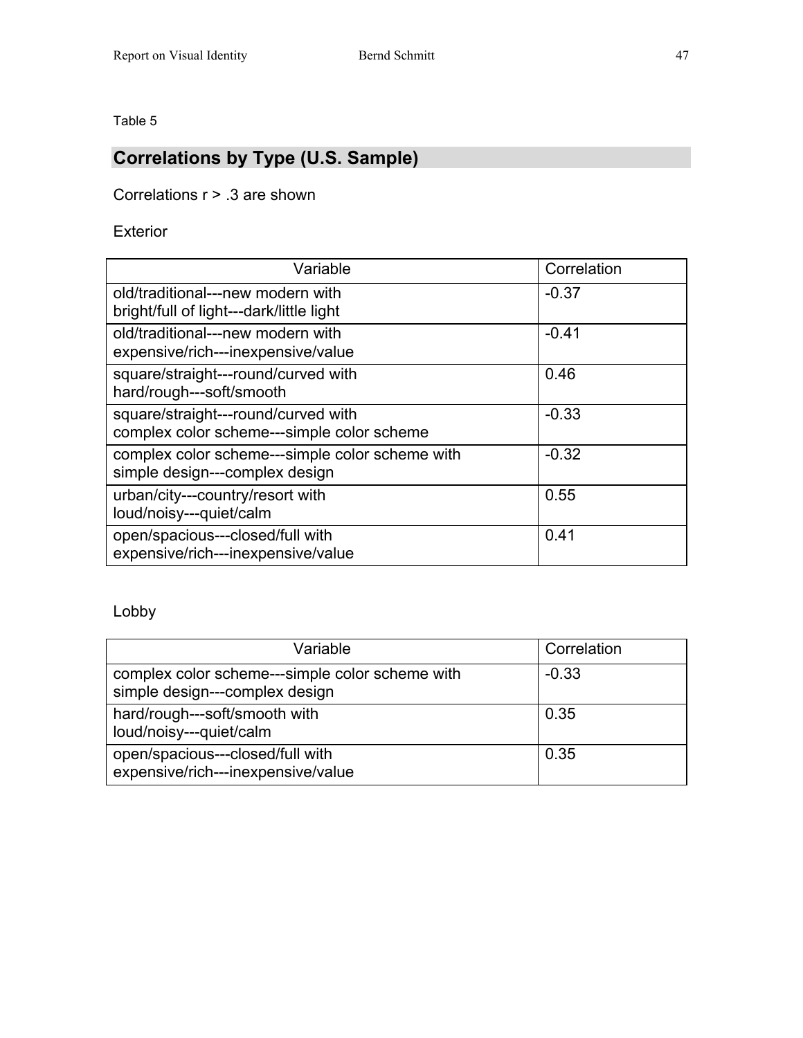## **Correlations by Type (U.S. Sample)**

Correlations r > .3 are shown

Exterior

| Variable                                                                          | Correlation |
|-----------------------------------------------------------------------------------|-------------|
| old/traditional---new modern with<br>bright/full of light---dark/little light     | $-0.37$     |
| old/traditional---new modern with<br>expensive/rich---inexpensive/value           | $-0.41$     |
| square/straight---round/curved with<br>hard/rough---soft/smooth                   | 0.46        |
| square/straight---round/curved with<br>complex color scheme---simple color scheme | $-0.33$     |
| complex color scheme---simple color scheme with<br>simple design---complex design | $-0.32$     |
| urban/city---country/resort with<br>loud/noisy---quiet/calm                       | 0.55        |
| open/spacious---closed/full with<br>expensive/rich---inexpensive/value            | 0.41        |

### Lobby

| Variable                                                                          | Correlation |
|-----------------------------------------------------------------------------------|-------------|
| complex color scheme---simple color scheme with<br>simple design---complex design | $-0.33$     |
| hard/rough---soft/smooth with<br>loud/noisy---quiet/calm                          | 0.35        |
| open/spacious---closed/full with<br>expensive/rich---inexpensive/value            | 0.35        |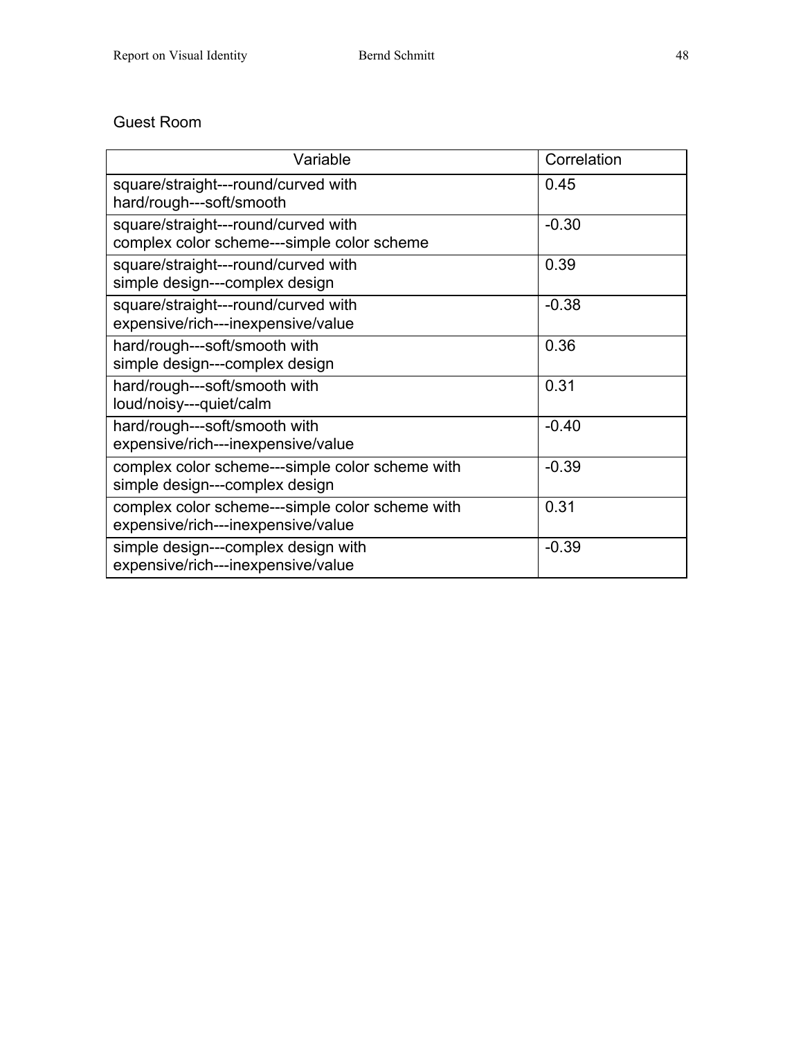### Guest Room

| Variable                                                                              | Correlation |
|---------------------------------------------------------------------------------------|-------------|
| square/straight---round/curved with<br>hard/rough---soft/smooth                       | 0.45        |
| square/straight---round/curved with<br>complex color scheme---simple color scheme     | $-0.30$     |
| square/straight---round/curved with<br>simple design---complex design                 | 0.39        |
| square/straight---round/curved with<br>expensive/rich---inexpensive/value             | $-0.38$     |
| hard/rough---soft/smooth with<br>simple design---complex design                       | 0.36        |
| hard/rough---soft/smooth with<br>loud/noisy---quiet/calm                              | 0.31        |
| hard/rough---soft/smooth with<br>expensive/rich---inexpensive/value                   | $-0.40$     |
| complex color scheme---simple color scheme with<br>simple design---complex design     | $-0.39$     |
| complex color scheme---simple color scheme with<br>expensive/rich---inexpensive/value | 0.31        |
| simple design---complex design with<br>expensive/rich---inexpensive/value             | $-0.39$     |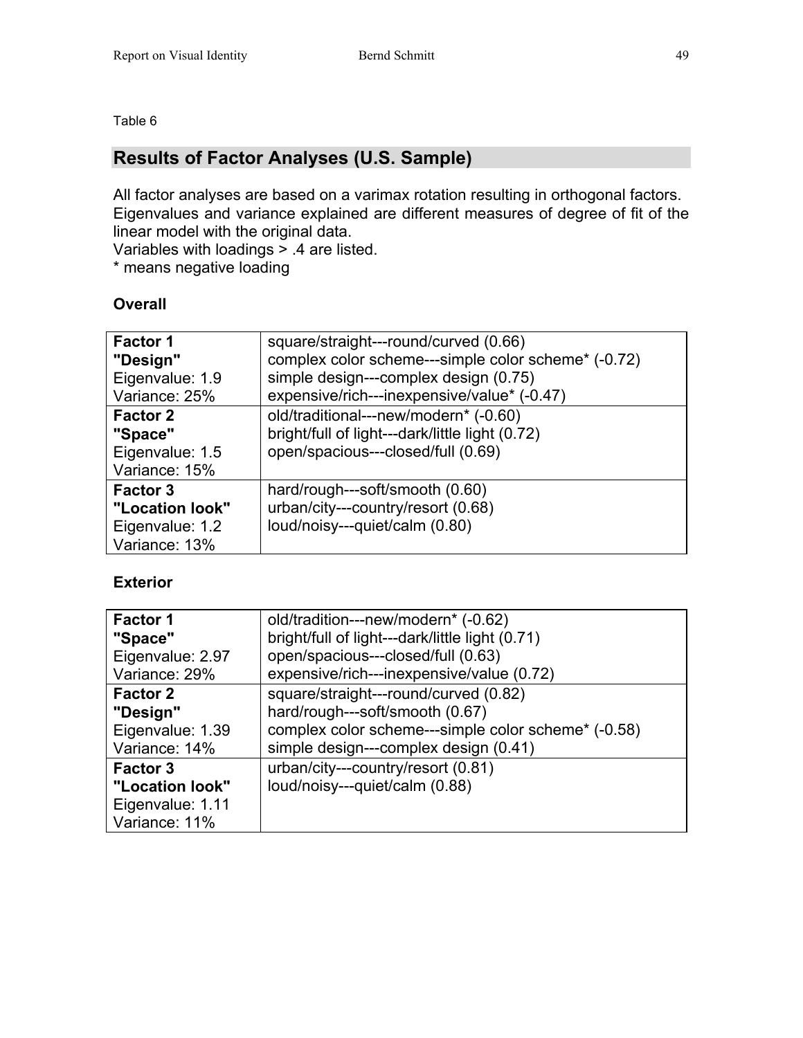### **Results of Factor Analyses (U.S. Sample)**

All factor analyses are based on a varimax rotation resulting in orthogonal factors. Eigenvalues and variance explained are different measures of degree of fit of the linear model with the original data.

Variables with loadings > .4 are listed.

\* means negative loading

### **Overall**

| Factor 1<br>"Design"<br>Eigenvalue: 1.9<br>Variance: 25%               | square/straight---round/curved (0.66)<br>complex color scheme---simple color scheme* (-0.72)<br>simple design---complex design (0.75)<br>expensive/rich---inexpensive/value* (-0.47) |
|------------------------------------------------------------------------|--------------------------------------------------------------------------------------------------------------------------------------------------------------------------------------|
| <b>Factor 2</b><br>"Space"<br>Eigenvalue: 1.5<br>Variance: 15%         | old/traditional---new/modern* (-0.60)<br>bright/full of light---dark/little light (0.72)<br>open/spacious---closed/full (0.69)                                                       |
| <b>Factor 3</b><br>"Location look"<br>Eigenvalue: 1.2<br>Variance: 13% | hard/rough---soft/smooth (0.60)<br>urban/city---country/resort (0.68)<br>loud/noisy---quiet/calm (0.80)                                                                              |

### **Exterior**

| Factor 1         | old/tradition---new/modern* (-0.62)                 |
|------------------|-----------------------------------------------------|
| "Space"          | bright/full of light---dark/little light (0.71)     |
| Eigenvalue: 2.97 | open/spacious---closed/full (0.63)                  |
| Variance: 29%    | expensive/rich---inexpensive/value (0.72)           |
| <b>Factor 2</b>  | square/straight---round/curved (0.82)               |
| "Design"         | hard/rough---soft/smooth (0.67)                     |
| Eigenvalue: 1.39 | complex color scheme---simple color scheme* (-0.58) |
| Variance: 14%    | simple design---complex design (0.41)               |
| <b>Factor 3</b>  | urban/city---country/resort (0.81)                  |
| "Location look"  | loud/noisy---quiet/calm (0.88)                      |
| Eigenvalue: 1.11 |                                                     |
| Variance: 11%    |                                                     |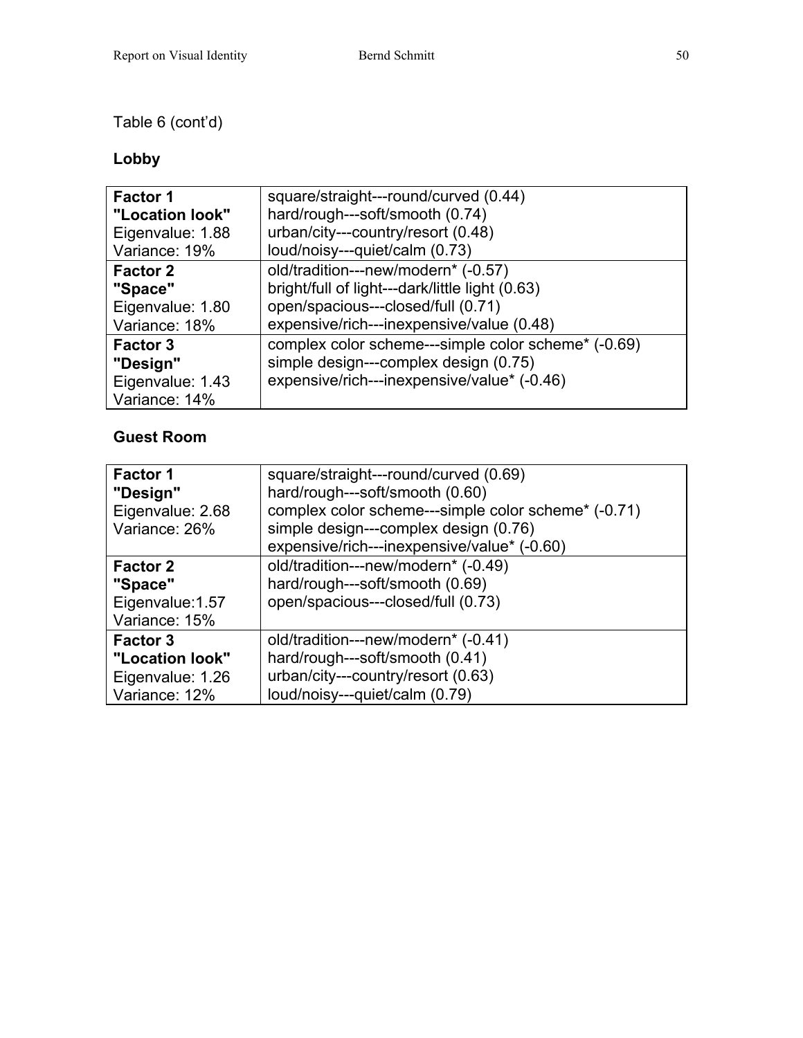### Table 6 (cont'd)

### **Lobby**

| <b>Factor 1</b>                                                  | square/straight---round/curved (0.44)                                                                                                       |
|------------------------------------------------------------------|---------------------------------------------------------------------------------------------------------------------------------------------|
| "Location look"                                                  | hard/rough---soft/smooth (0.74)                                                                                                             |
| Eigenvalue: 1.88                                                 | urban/city---country/resort (0.48)                                                                                                          |
| Variance: 19%                                                    | loud/noisy---quiet/calm (0.73)                                                                                                              |
| <b>Factor 2</b>                                                  | old/tradition---new/modern* (-0.57)                                                                                                         |
| "Space"                                                          | bright/full of light---dark/little light (0.63)                                                                                             |
| Eigenvalue: 1.80                                                 | open/spacious---closed/full (0.71)                                                                                                          |
| Variance: 18%                                                    | expensive/rich---inexpensive/value (0.48)                                                                                                   |
| <b>Factor 3</b><br>"Design"<br>Eigenvalue: 1.43<br>Variance: 14% | complex color scheme---simple color scheme* (-0.69)<br>simple design---complex design (0.75)<br>expensive/rich---inexpensive/value* (-0.46) |

### **Guest Room**

| Factor 1<br>"Design"<br>Eigenvalue: 2.68<br>Variance: 26%               | square/straight---round/curved (0.69)<br>hard/rough---soft/smooth (0.60)<br>complex color scheme---simple color scheme* (-0.71)<br>simple design---complex design (0.76)<br>expensive/rich---inexpensive/value* (-0.60) |
|-------------------------------------------------------------------------|-------------------------------------------------------------------------------------------------------------------------------------------------------------------------------------------------------------------------|
| <b>Factor 2</b><br>"Space"<br>Eigenvalue: 1.57<br>Variance: 15%         | old/tradition---new/modern* (-0.49)<br>hard/rough---soft/smooth (0.69)<br>open/spacious---closed/full (0.73)                                                                                                            |
| <b>Factor 3</b><br>"Location look"<br>Eigenvalue: 1.26<br>Variance: 12% | old/tradition---new/modern* (-0.41)<br>hard/rough---soft/smooth (0.41)<br>urban/city---country/resort (0.63)<br>loud/noisy---quiet/calm (0.79)                                                                          |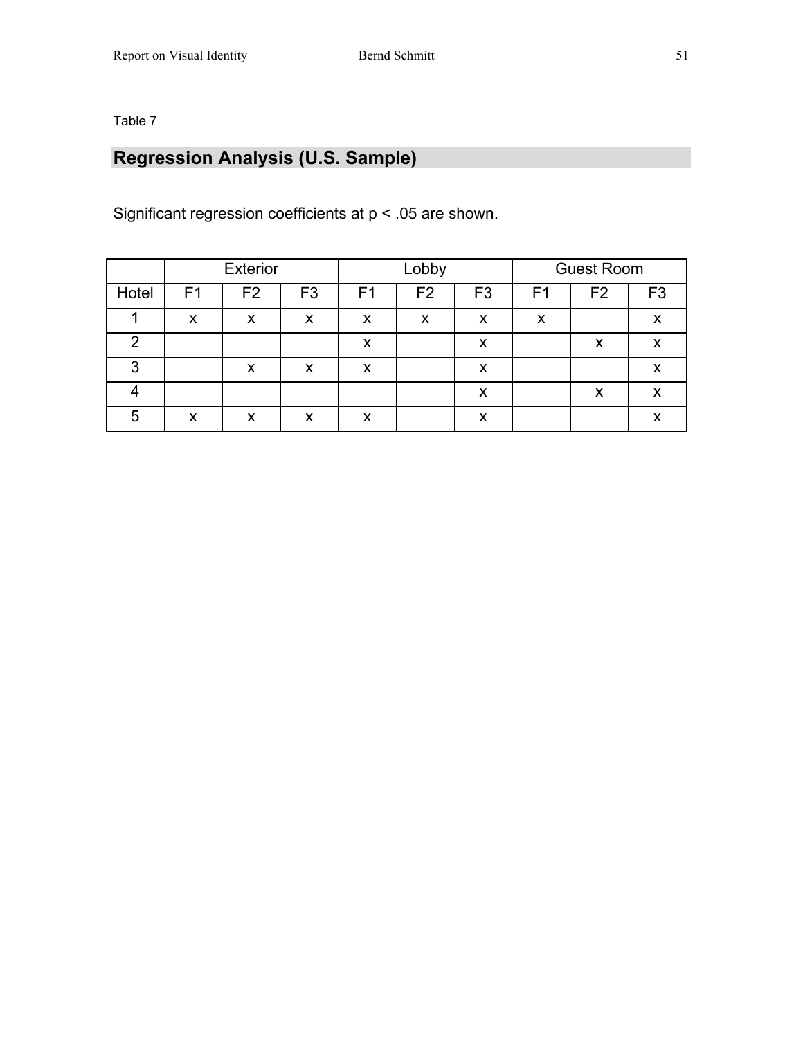## **Regression Analysis (U.S. Sample)**

Significant regression coefficients at p < .05 are shown.

|               |                | <b>Exterior</b> |                |                | Lobby          |                |                | <b>Guest Room</b> |                |
|---------------|----------------|-----------------|----------------|----------------|----------------|----------------|----------------|-------------------|----------------|
| Hotel         | F <sub>1</sub> | F <sub>2</sub>  | F <sub>3</sub> | F <sub>1</sub> | F <sub>2</sub> | F <sub>3</sub> | F <sub>1</sub> | F <sub>2</sub>    | F <sub>3</sub> |
|               | X              | X               | X              | X              | X              | X              | X              |                   | X              |
| $\mathcal{P}$ |                |                 |                | X              |                | X              |                | X                 | X              |
| 3             |                | X               | X              | X              |                | X              |                |                   | X              |
|               |                |                 |                |                |                | X              |                | X                 | X              |
| 5             | X              | X               | X              | X              |                | X              |                |                   | X              |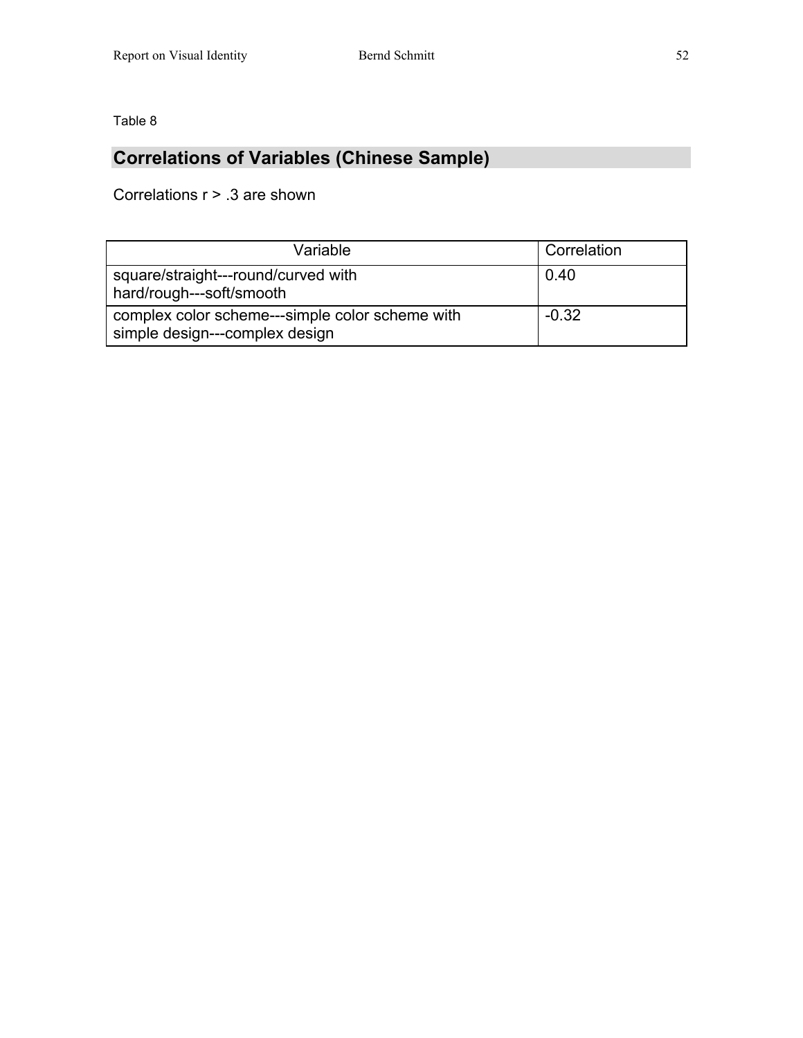### **Correlations of Variables (Chinese Sample)**

Correlations r > .3 are shown

| Variable                                                                          | Correlation |
|-----------------------------------------------------------------------------------|-------------|
| square/straight---round/curved with<br>hard/rough---soft/smooth                   | 0.40        |
| complex color scheme---simple color scheme with<br>simple design---complex design | $-0.32$     |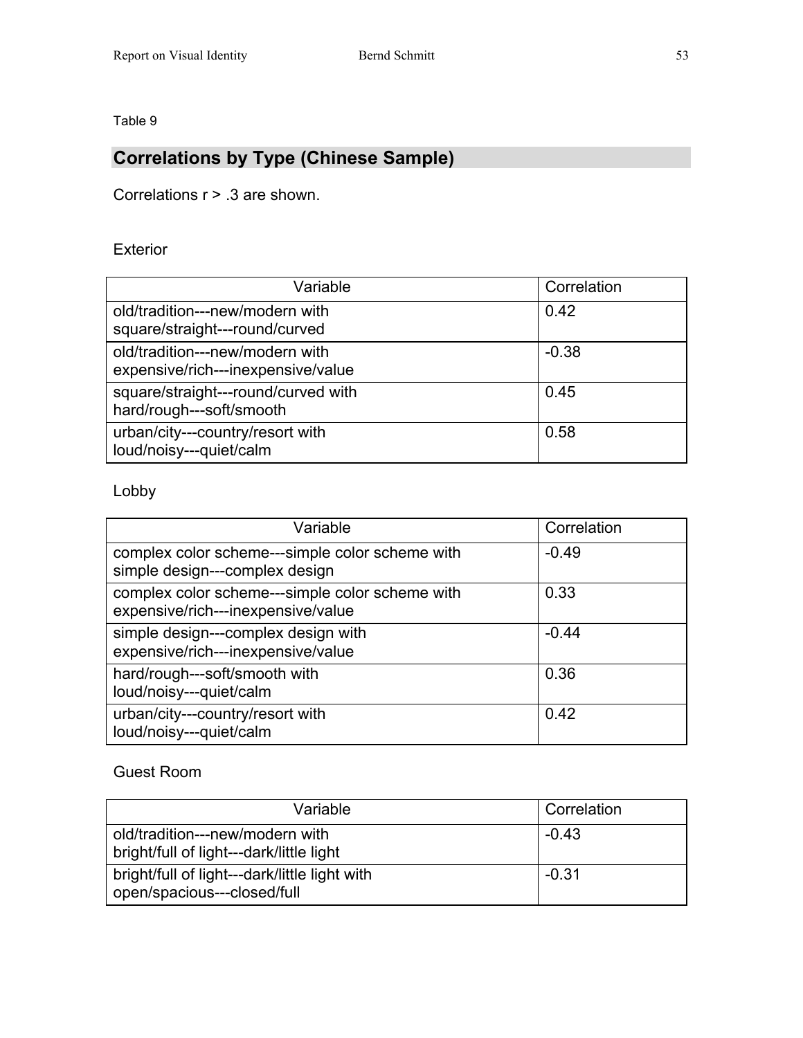## **Correlations by Type (Chinese Sample)**

Correlations r > .3 are shown.

### Exterior

| Variable                                                              | Correlation |
|-----------------------------------------------------------------------|-------------|
| old/tradition---new/modern with<br>square/straight---round/curved     | 0.42        |
| old/tradition---new/modern with<br>expensive/rich---inexpensive/value | $-0.38$     |
| square/straight---round/curved with<br>hard/rough---soft/smooth       | 0.45        |
| urban/city---country/resort with<br>loud/noisy---quiet/calm           | 0.58        |

Lobby

| Variable                                                                              | Correlation |
|---------------------------------------------------------------------------------------|-------------|
| complex color scheme---simple color scheme with<br>simple design---complex design     | $-0.49$     |
| complex color scheme---simple color scheme with<br>expensive/rich---inexpensive/value | 0.33        |
| simple design---complex design with<br>expensive/rich---inexpensive/value             | $-0.44$     |
| hard/rough---soft/smooth with<br>loud/noisy---quiet/calm                              | 0.36        |
| urban/city---country/resort with<br>loud/noisy---quiet/calm                           | 0.42        |

### Guest Room

| Variable                                                                     | Correlation |
|------------------------------------------------------------------------------|-------------|
| old/tradition---new/modern with<br>bright/full of light---dark/little light  | $-0.43$     |
| bright/full of light---dark/little light with<br>open/spacious---closed/full | $-0.31$     |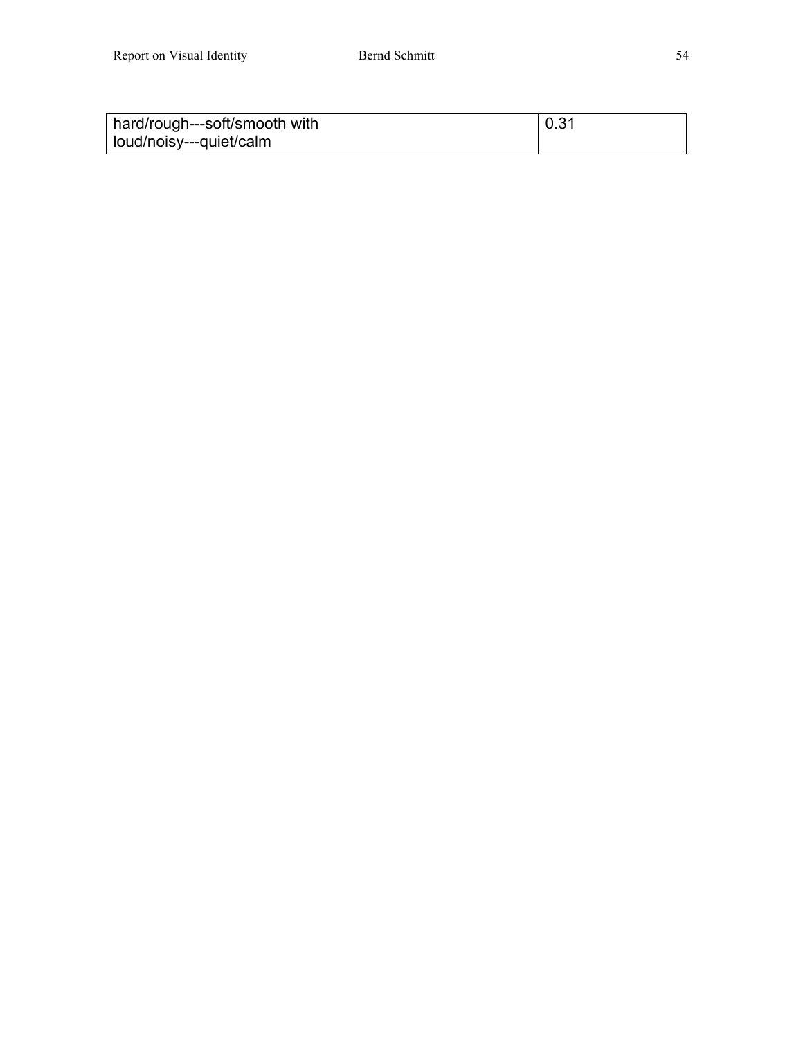| hard/rough---soft/smooth with | 0.31 |
|-------------------------------|------|
| loud/noisy---quiet/calm       |      |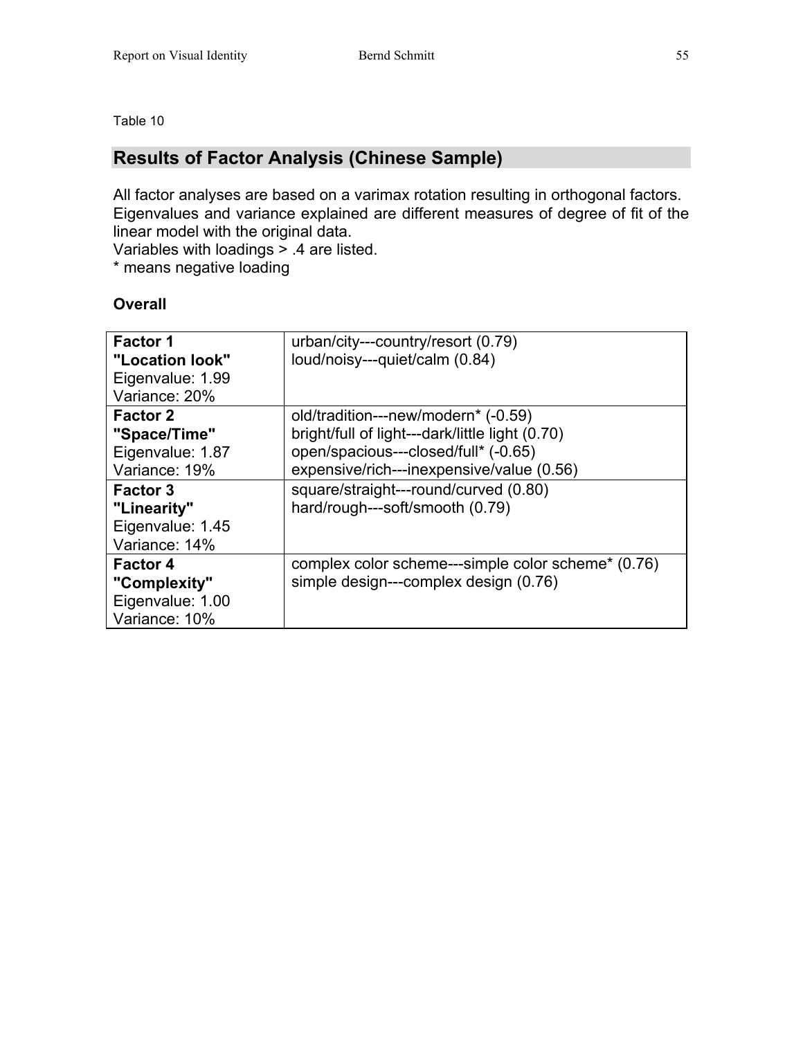### **Results of Factor Analysis (Chinese Sample)**

All factor analyses are based on a varimax rotation resulting in orthogonal factors. Eigenvalues and variance explained are different measures of degree of fit of the linear model with the original data.

Variables with loadings > .4 are listed.

\* means negative loading

### **Overall**

| <b>Factor 1</b><br>"Location look"<br>Eigenvalue: 1.99<br>Variance: 20% | urban/city---country/resort (0.79)<br>loud/noisy---quiet/calm (0.84)                                                                                                        |
|-------------------------------------------------------------------------|-----------------------------------------------------------------------------------------------------------------------------------------------------------------------------|
| <b>Factor 2</b><br>"Space/Time"<br>Eigenvalue: 1.87<br>Variance: 19%    | old/tradition---new/modern* (-0.59)<br>bright/full of light---dark/little light (0.70)<br>open/spacious---closed/full* (-0.65)<br>expensive/rich---inexpensive/value (0.56) |
| <b>Factor 3</b><br>"Linearity"<br>Eigenvalue: 1.45<br>Variance: 14%     | square/straight---round/curved (0.80)<br>hard/rough---soft/smooth (0.79)                                                                                                    |
| <b>Factor 4</b><br>"Complexity"<br>Eigenvalue: 1.00<br>Variance: 10%    | complex color scheme---simple color scheme* (0.76)<br>simple design---complex design (0.76)                                                                                 |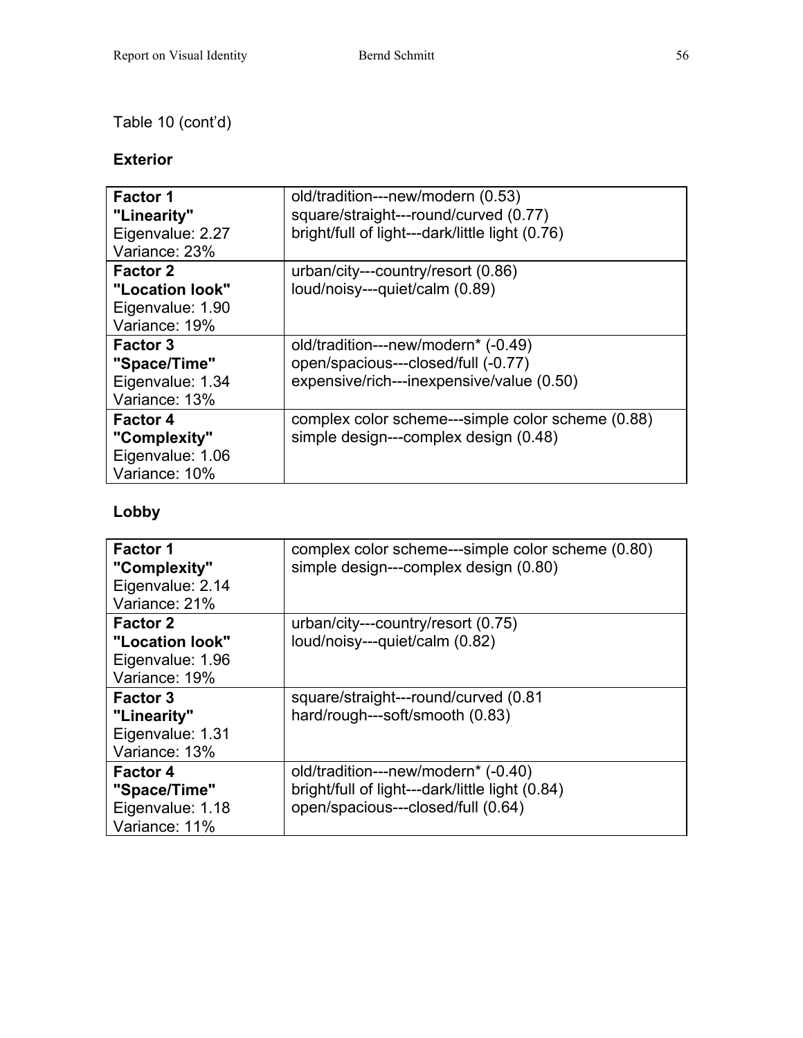### Table 10 (cont'd)

### **Exterior**

| <b>Factor 1</b><br>"Linearity"<br>Eigenvalue: 2.27<br>Variance: 23%     | old/tradition---new/modern (0.53)<br>square/straight---round/curved (0.77)<br>bright/full of light---dark/little light (0.76) |
|-------------------------------------------------------------------------|-------------------------------------------------------------------------------------------------------------------------------|
| <b>Factor 2</b><br>"Location look"<br>Eigenvalue: 1.90<br>Variance: 19% | urban/city---country/resort (0.86)<br>loud/noisy---quiet/calm (0.89)                                                          |
| <b>Factor 3</b><br>"Space/Time"<br>Eigenvalue: 1.34<br>Variance: 13%    | old/tradition---new/modern* (-0.49)<br>open/spacious---closed/full (-0.77)<br>expensive/rich---inexpensive/value (0.50)       |
| <b>Factor 4</b><br>"Complexity"<br>Eigenvalue: 1.06<br>Variance: 10%    | complex color scheme---simple color scheme (0.88)<br>simple design---complex design (0.48)                                    |

### **Lobby**

| <b>Factor 1</b><br>"Complexity"<br>Eigenvalue: 2.14<br>Variance: 21%    | complex color scheme---simple color scheme (0.80)<br>simple design---complex design (0.80)                                   |
|-------------------------------------------------------------------------|------------------------------------------------------------------------------------------------------------------------------|
| <b>Factor 2</b><br>"Location look"<br>Eigenvalue: 1.96<br>Variance: 19% | urban/city---country/resort (0.75)<br>loud/noisy---quiet/calm (0.82)                                                         |
| <b>Factor 3</b><br>"Linearity"<br>Eigenvalue: 1.31<br>Variance: 13%     | square/straight---round/curved (0.81<br>hard/rough---soft/smooth (0.83)                                                      |
| <b>Factor 4</b><br>"Space/Time"<br>Eigenvalue: 1.18<br>Variance: 11%    | old/tradition---new/modern* (-0.40)<br>bright/full of light---dark/little light (0.84)<br>open/spacious---closed/full (0.64) |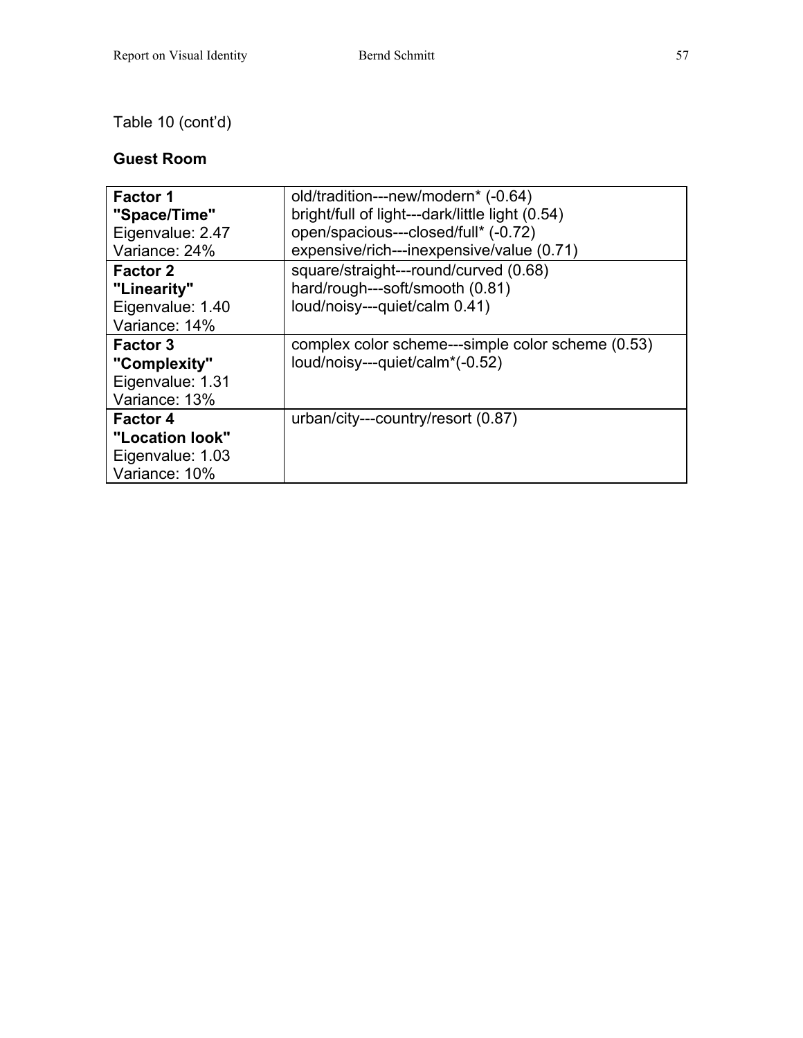### Table 10 (cont'd)

### **Guest Room**

| <b>Factor 1</b><br>"Space/Time"<br>Eigenvalue: 2.47                     | old/tradition---new/modern* (-0.64)<br>bright/full of light---dark/little light (0.54)<br>open/spacious---closed/full* (-0.72) |
|-------------------------------------------------------------------------|--------------------------------------------------------------------------------------------------------------------------------|
| Variance: 24%                                                           | expensive/rich---inexpensive/value (0.71)                                                                                      |
| <b>Factor 2</b><br>"Linearity"<br>Eigenvalue: 1.40<br>Variance: 14%     | square/straight---round/curved (0.68)<br>hard/rough---soft/smooth (0.81)<br>loud/noisy---quiet/calm 0.41)                      |
| <b>Factor 3</b><br>"Complexity"<br>Eigenvalue: 1.31<br>Variance: 13%    | complex color scheme---simple color scheme (0.53)<br>loud/noisy---quiet/calm*(-0.52)                                           |
| <b>Factor 4</b><br>"Location look"<br>Eigenvalue: 1.03<br>Variance: 10% | urban/city---country/resort (0.87)                                                                                             |